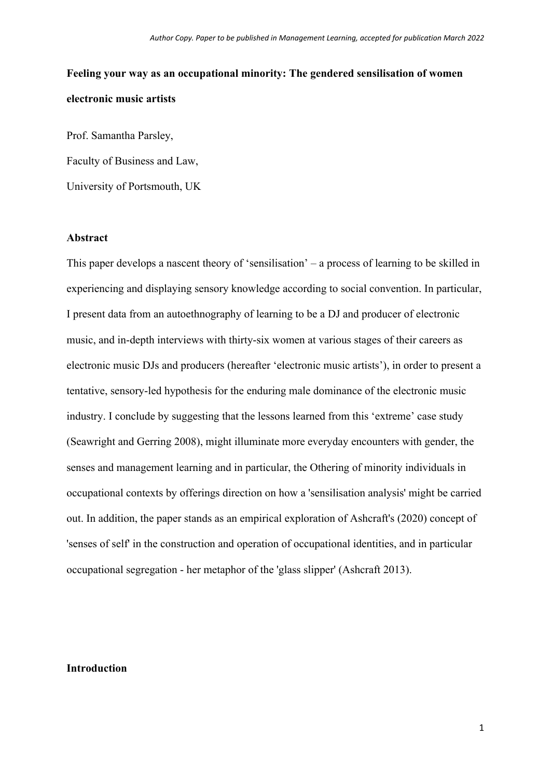# **Feeling your way as an occupational minority: The gendered sensilisation of women electronic music artists**

Prof. Samantha Parsley, Faculty of Business and Law, University of Portsmouth, UK

# **Abstract**

This paper develops a nascent theory of 'sensilisation' – a process of learning to be skilled in experiencing and displaying sensory knowledge according to social convention. In particular, I present data from an autoethnography of learning to be a DJ and producer of electronic music, and in-depth interviews with thirty-six women at various stages of their careers as electronic music DJs and producers (hereafter 'electronic music artists'), in order to present a tentative, sensory-led hypothesis for the enduring male dominance of the electronic music industry. I conclude by suggesting that the lessons learned from this 'extreme' case study (Seawright and Gerring 2008), might illuminate more everyday encounters with gender, the senses and management learning and in particular, the Othering of minority individuals in occupational contexts by offerings direction on how a 'sensilisation analysis' might be carried out. In addition, the paper stands as an empirical exploration of Ashcraft's (2020) concept of 'senses of self' in the construction and operation of occupational identities, and in particular occupational segregation - her metaphor of the 'glass slipper' (Ashcraft 2013).

# **Introduction**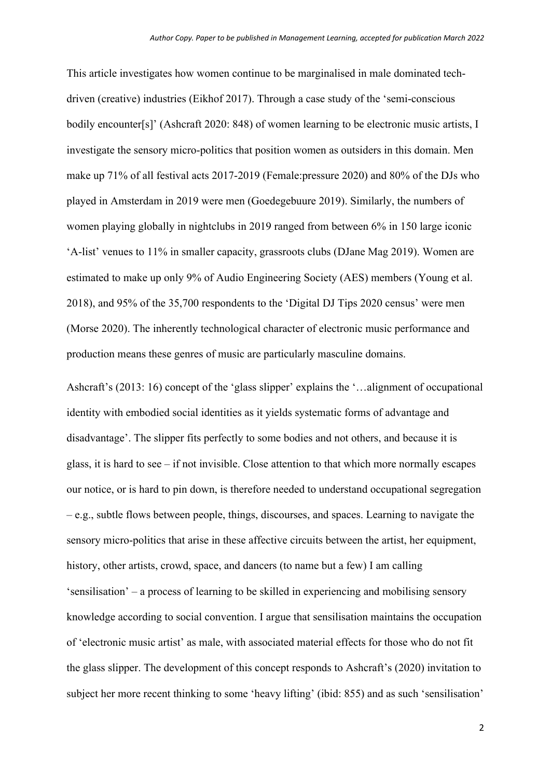This article investigates how women continue to be marginalised in male dominated techdriven (creative) industries (Eikhof 2017). Through a case study of the 'semi-conscious bodily encounter[s]' (Ashcraft 2020: 848) of women learning to be electronic music artists, I investigate the sensory micro-politics that position women as outsiders in this domain. Men make up 71% of all festival acts 2017-2019 (Female:pressure 2020) and 80% of the DJs who played in Amsterdam in 2019 were men (Goedegebuure 2019). Similarly, the numbers of women playing globally in nightclubs in 2019 ranged from between 6% in 150 large iconic 'A-list' venues to 11% in smaller capacity, grassroots clubs (DJane Mag 2019). Women are estimated to make up only 9% of Audio Engineering Society (AES) members (Young et al. 2018), and 95% of the 35,700 respondents to the 'Digital DJ Tips 2020 census' were men (Morse 2020). The inherently technological character of electronic music performance and production means these genres of music are particularly masculine domains.

Ashcraft's (2013: 16) concept of the 'glass slipper' explains the '…alignment of occupational identity with embodied social identities as it yields systematic forms of advantage and disadvantage'. The slipper fits perfectly to some bodies and not others, and because it is glass, it is hard to see – if not invisible. Close attention to that which more normally escapes our notice, or is hard to pin down, is therefore needed to understand occupational segregation – e.g., subtle flows between people, things, discourses, and spaces. Learning to navigate the sensory micro-politics that arise in these affective circuits between the artist, her equipment, history, other artists, crowd, space, and dancers (to name but a few) I am calling 'sensilisation' – a process of learning to be skilled in experiencing and mobilising sensory knowledge according to social convention. I argue that sensilisation maintains the occupation of 'electronic music artist' as male, with associated material effects for those who do not fit the glass slipper. The development of this concept responds to Ashcraft's (2020) invitation to subject her more recent thinking to some 'heavy lifting' (ibid: 855) and as such 'sensilisation'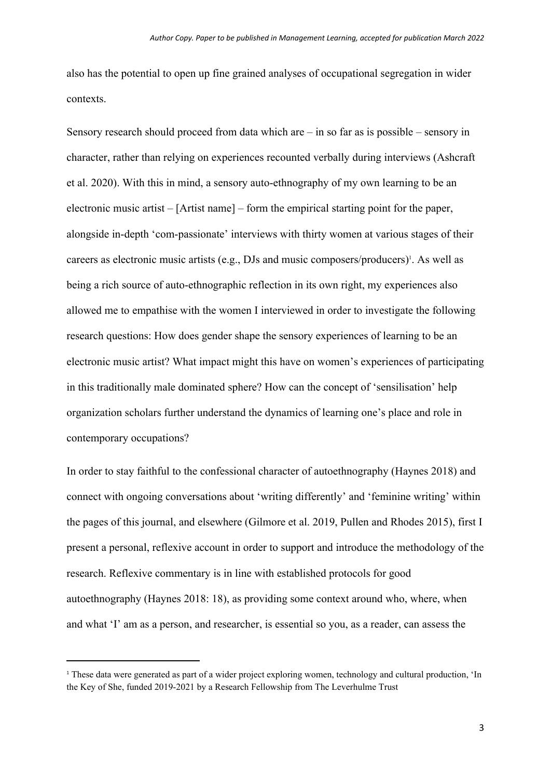also has the potential to open up fine grained analyses of occupational segregation in wider contexts.

Sensory research should proceed from data which are  $-$  in so far as is possible  $-$  sensory in character, rather than relying on experiences recounted verbally during interviews (Ashcraft et al. 2020). With this in mind, a sensory auto-ethnography of my own learning to be an electronic music artist – [Artist name] – form the empirical starting point for the paper, alongside in-depth 'com-passionate' interviews with thirty women at various stages of their careers as electronic music artists (e.g., DJs and music composers/producers)<sup>1</sup>. As well as being a rich source of auto-ethnographic reflection in its own right, my experiences also allowed me to empathise with the women I interviewed in order to investigate the following research questions: How does gender shape the sensory experiences of learning to be an electronic music artist? What impact might this have on women's experiences of participating in this traditionally male dominated sphere? How can the concept of 'sensilisation' help organization scholars further understand the dynamics of learning one's place and role in contemporary occupations?

In order to stay faithful to the confessional character of autoethnography (Haynes 2018) and connect with ongoing conversations about 'writing differently' and 'feminine writing' within the pages of this journal, and elsewhere (Gilmore et al. 2019, Pullen and Rhodes 2015), first I present a personal, reflexive account in order to support and introduce the methodology of the research. Reflexive commentary is in line with established protocols for good autoethnography (Haynes 2018: 18), as providing some context around who, where, when and what 'I' am as a person, and researcher, is essential so you, as a reader, can assess the

<sup>&</sup>lt;sup>1</sup> These data were generated as part of a wider project exploring women, technology and cultural production, 'In the Key of She, funded 2019-2021 by a Research Fellowship from The Leverhulme Trust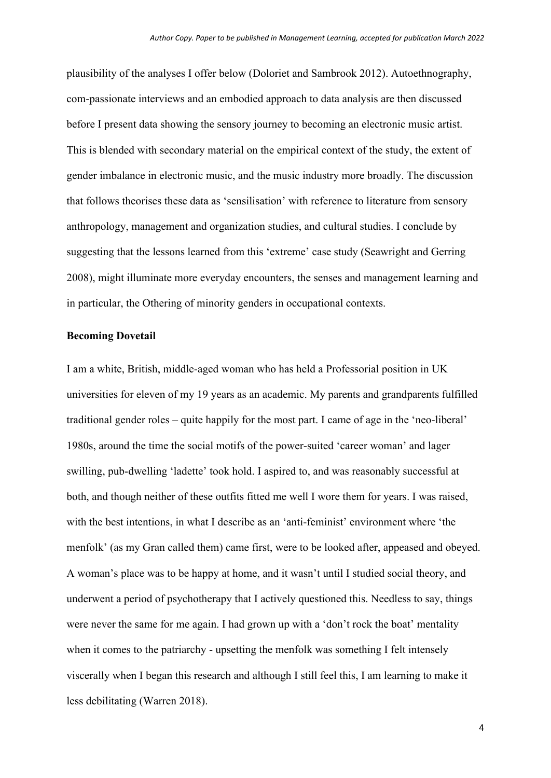plausibility of the analyses I offer below (Doloriet and Sambrook 2012). Autoethnography, com-passionate interviews and an embodied approach to data analysis are then discussed before I present data showing the sensory journey to becoming an electronic music artist. This is blended with secondary material on the empirical context of the study, the extent of gender imbalance in electronic music, and the music industry more broadly. The discussion that follows theorises these data as 'sensilisation' with reference to literature from sensory anthropology, management and organization studies, and cultural studies. I conclude by suggesting that the lessons learned from this 'extreme' case study (Seawright and Gerring 2008), might illuminate more everyday encounters, the senses and management learning and in particular, the Othering of minority genders in occupational contexts.

# **Becoming Dovetail**

I am a white, British, middle-aged woman who has held a Professorial position in UK universities for eleven of my 19 years as an academic. My parents and grandparents fulfilled traditional gender roles – quite happily for the most part. I came of age in the 'neo-liberal' 1980s, around the time the social motifs of the power-suited 'career woman' and lager swilling, pub-dwelling 'ladette' took hold. I aspired to, and was reasonably successful at both, and though neither of these outfits fitted me well I wore them for years. I was raised, with the best intentions, in what I describe as an 'anti-feminist' environment where 'the menfolk' (as my Gran called them) came first, were to be looked after, appeased and obeyed. A woman's place was to be happy at home, and it wasn't until I studied social theory, and underwent a period of psychotherapy that I actively questioned this. Needless to say, things were never the same for me again. I had grown up with a 'don't rock the boat' mentality when it comes to the patriarchy - upsetting the menfolk was something I felt intensely viscerally when I began this research and although I still feel this, I am learning to make it less debilitating (Warren 2018).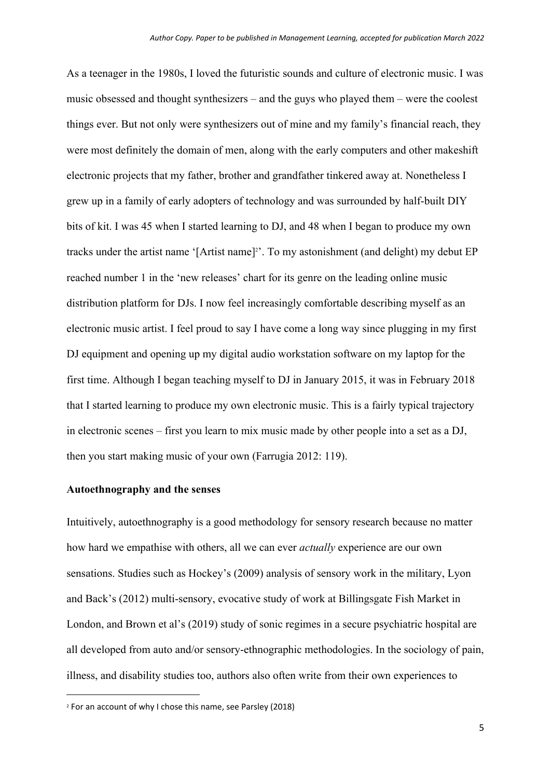As a teenager in the 1980s, I loved the futuristic sounds and culture of electronic music. I was music obsessed and thought synthesizers – and the guys who played them – were the coolest things ever. But not only were synthesizers out of mine and my family's financial reach, they were most definitely the domain of men, along with the early computers and other makeshift electronic projects that my father, brother and grandfather tinkered away at. Nonetheless I grew up in a family of early adopters of technology and was surrounded by half-built DIY bits of kit. I was 45 when I started learning to DJ, and 48 when I began to produce my own tracks under the artist name '[Artist name]<sup>2</sup>'. To my astonishment (and delight) my debut EP reached number 1 in the 'new releases' chart for its genre on the leading online music distribution platform for DJs. I now feel increasingly comfortable describing myself as an electronic music artist. I feel proud to say I have come a long way since plugging in my first DJ equipment and opening up my digital audio workstation software on my laptop for the first time. Although I began teaching myself to DJ in January 2015, it was in February 2018 that I started learning to produce my own electronic music. This is a fairly typical trajectory in electronic scenes – first you learn to mix music made by other people into a set as a DJ, then you start making music of your own (Farrugia 2012: 119).

## **Autoethnography and the senses**

Intuitively, autoethnography is a good methodology for sensory research because no matter how hard we empathise with others, all we can ever *actually* experience are our own sensations. Studies such as Hockey's (2009) analysis of sensory work in the military, Lyon and Back's (2012) multi-sensory, evocative study of work at Billingsgate Fish Market in London, and Brown et al's (2019) study of sonic regimes in a secure psychiatric hospital are all developed from auto and/or sensory-ethnographic methodologies. In the sociology of pain, illness, and disability studies too, authors also often write from their own experiences to

<sup>2</sup> For an account of why I chose this name, see Parsley (2018)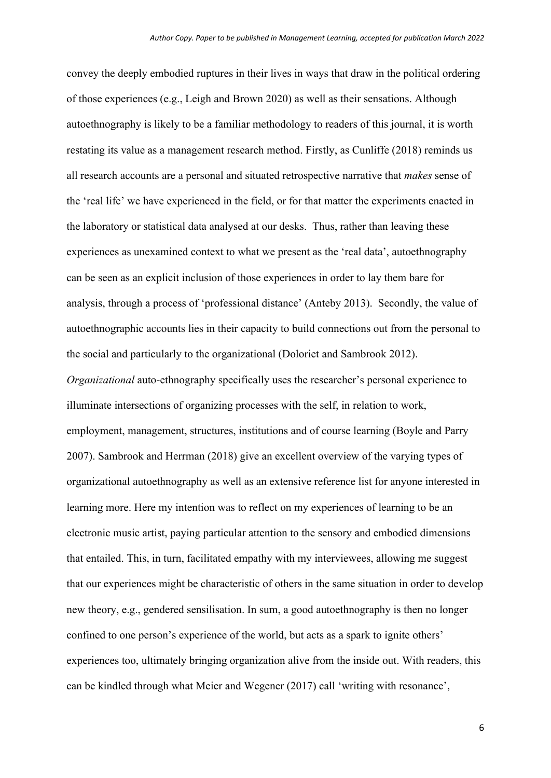convey the deeply embodied ruptures in their lives in ways that draw in the political ordering of those experiences (e.g., Leigh and Brown 2020) as well as their sensations. Although autoethnography is likely to be a familiar methodology to readers of this journal, it is worth restating its value as a management research method. Firstly, as Cunliffe (2018) reminds us all research accounts are a personal and situated retrospective narrative that *makes* sense of the 'real life' we have experienced in the field, or for that matter the experiments enacted in the laboratory or statistical data analysed at our desks. Thus, rather than leaving these experiences as unexamined context to what we present as the 'real data', autoethnography can be seen as an explicit inclusion of those experiences in order to lay them bare for analysis, through a process of 'professional distance' (Anteby 2013). Secondly, the value of autoethnographic accounts lies in their capacity to build connections out from the personal to the social and particularly to the organizational (Doloriet and Sambrook 2012). *Organizational* auto-ethnography specifically uses the researcher's personal experience to illuminate intersections of organizing processes with the self, in relation to work, employment, management, structures, institutions and of course learning (Boyle and Parry 2007). Sambrook and Herrman (2018) give an excellent overview of the varying types of organizational autoethnography as well as an extensive reference list for anyone interested in learning more. Here my intention was to reflect on my experiences of learning to be an electronic music artist, paying particular attention to the sensory and embodied dimensions that entailed. This, in turn, facilitated empathy with my interviewees, allowing me suggest that our experiences might be characteristic of others in the same situation in order to develop new theory, e.g., gendered sensilisation. In sum, a good autoethnography is then no longer confined to one person's experience of the world, but acts as a spark to ignite others' experiences too, ultimately bringing organization alive from the inside out. With readers, this can be kindled through what Meier and Wegener (2017) call 'writing with resonance',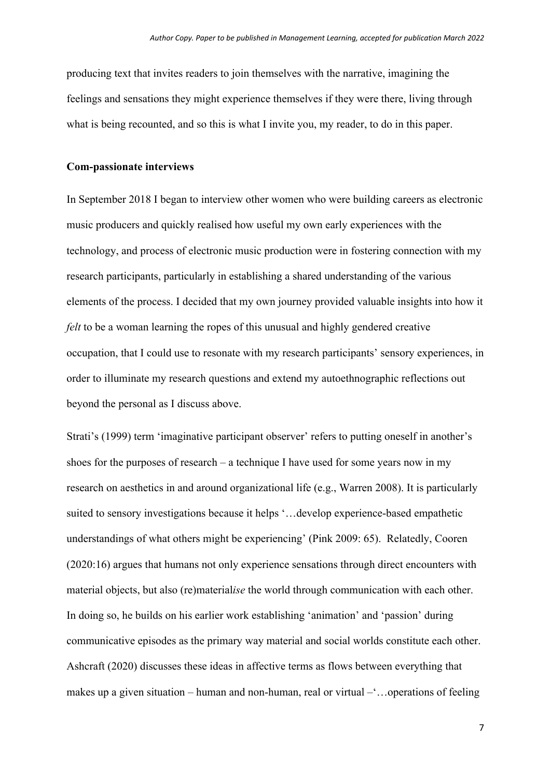producing text that invites readers to join themselves with the narrative, imagining the feelings and sensations they might experience themselves if they were there, living through what is being recounted, and so this is what I invite you, my reader, to do in this paper.

## **Com-passionate interviews**

In September 2018 I began to interview other women who were building careers as electronic music producers and quickly realised how useful my own early experiences with the technology, and process of electronic music production were in fostering connection with my research participants, particularly in establishing a shared understanding of the various elements of the process. I decided that my own journey provided valuable insights into how it *felt* to be a woman learning the ropes of this unusual and highly gendered creative occupation, that I could use to resonate with my research participants' sensory experiences, in order to illuminate my research questions and extend my autoethnographic reflections out beyond the personal as I discuss above.

Strati's (1999) term 'imaginative participant observer' refers to putting oneself in another's shoes for the purposes of research – a technique I have used for some years now in my research on aesthetics in and around organizational life (e.g., Warren 2008). It is particularly suited to sensory investigations because it helps '…develop experience-based empathetic understandings of what others might be experiencing' (Pink 2009: 65). Relatedly, Cooren (2020:16) argues that humans not only experience sensations through direct encounters with material objects, but also (re)material*ise* the world through communication with each other. In doing so, he builds on his earlier work establishing 'animation' and 'passion' during communicative episodes as the primary way material and social worlds constitute each other. Ashcraft (2020) discusses these ideas in affective terms as flows between everything that makes up a given situation – human and non-human, real or virtual –'…operations of feeling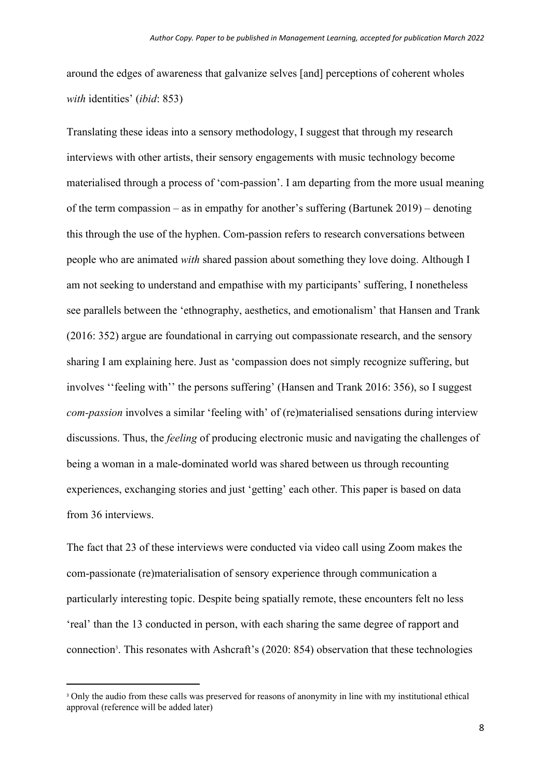around the edges of awareness that galvanize selves [and] perceptions of coherent wholes *with* identities' (*ibid*: 853)

Translating these ideas into a sensory methodology, I suggest that through my research interviews with other artists, their sensory engagements with music technology become materialised through a process of 'com-passion'. I am departing from the more usual meaning of the term compassion – as in empathy for another's suffering (Bartunek 2019) – denoting this through the use of the hyphen. Com-passion refers to research conversations between people who are animated *with* shared passion about something they love doing. Although I am not seeking to understand and empathise with my participants' suffering, I nonetheless see parallels between the 'ethnography, aesthetics, and emotionalism' that Hansen and Trank (2016: 352) argue are foundational in carrying out compassionate research, and the sensory sharing I am explaining here. Just as 'compassion does not simply recognize suffering, but involves ''feeling with'' the persons suffering' (Hansen and Trank 2016: 356), so I suggest *com-passion* involves a similar 'feeling with' of (re)materialised sensations during interview discussions. Thus, the *feeling* of producing electronic music and navigating the challenges of being a woman in a male-dominated world was shared between us through recounting experiences, exchanging stories and just 'getting' each other. This paper is based on data from 36 interviews.

The fact that 23 of these interviews were conducted via video call using Zoom makes the com-passionate (re)materialisation of sensory experience through communication a particularly interesting topic. Despite being spatially remote, these encounters felt no less 'real' than the 13 conducted in person, with each sharing the same degree of rapport and connection<sup>3</sup>. This resonates with Ashcraft's (2020: 854) observation that these technologies

<sup>&</sup>lt;sup>3</sup> Only the audio from these calls was preserved for reasons of anonymity in line with my institutional ethical approval (reference will be added later)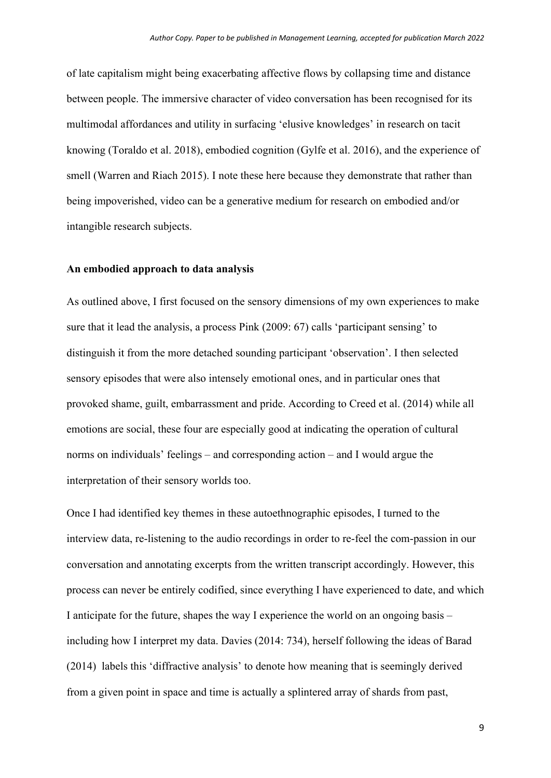of late capitalism might being exacerbating affective flows by collapsing time and distance between people. The immersive character of video conversation has been recognised for its multimodal affordances and utility in surfacing 'elusive knowledges' in research on tacit knowing (Toraldo et al. 2018), embodied cognition (Gylfe et al. 2016), and the experience of smell (Warren and Riach 2015). I note these here because they demonstrate that rather than being impoverished, video can be a generative medium for research on embodied and/or intangible research subjects.

## **An embodied approach to data analysis**

As outlined above, I first focused on the sensory dimensions of my own experiences to make sure that it lead the analysis, a process Pink (2009: 67) calls 'participant sensing' to distinguish it from the more detached sounding participant 'observation'. I then selected sensory episodes that were also intensely emotional ones, and in particular ones that provoked shame, guilt, embarrassment and pride. According to Creed et al. (2014) while all emotions are social, these four are especially good at indicating the operation of cultural norms on individuals' feelings – and corresponding action – and I would argue the interpretation of their sensory worlds too.

Once I had identified key themes in these autoethnographic episodes, I turned to the interview data, re-listening to the audio recordings in order to re-feel the com-passion in our conversation and annotating excerpts from the written transcript accordingly. However, this process can never be entirely codified, since everything I have experienced to date, and which I anticipate for the future, shapes the way I experience the world on an ongoing basis – including how I interpret my data. Davies (2014: 734), herself following the ideas of Barad (2014) labels this 'diffractive analysis' to denote how meaning that is seemingly derived from a given point in space and time is actually a splintered array of shards from past,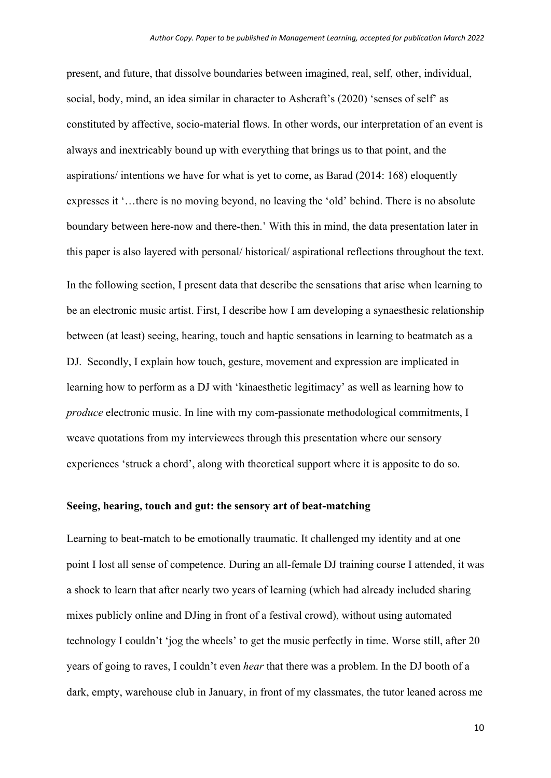present, and future, that dissolve boundaries between imagined, real, self, other, individual, social, body, mind, an idea similar in character to Ashcraft's (2020) 'senses of self' as constituted by affective, socio-material flows. In other words, our interpretation of an event is always and inextricably bound up with everything that brings us to that point, and the aspirations/ intentions we have for what is yet to come, as Barad (2014: 168) eloquently expresses it '…there is no moving beyond, no leaving the 'old' behind. There is no absolute boundary between here-now and there-then.' With this in mind, the data presentation later in this paper is also layered with personal/ historical/ aspirational reflections throughout the text. In the following section, I present data that describe the sensations that arise when learning to be an electronic music artist. First, I describe how I am developing a synaesthesic relationship between (at least) seeing, hearing, touch and haptic sensations in learning to beatmatch as a DJ. Secondly, I explain how touch, gesture, movement and expression are implicated in learning how to perform as a DJ with 'kinaesthetic legitimacy' as well as learning how to *produce* electronic music. In line with my com-passionate methodological commitments, I weave quotations from my interviewees through this presentation where our sensory experiences 'struck a chord', along with theoretical support where it is apposite to do so.

### **Seeing, hearing, touch and gut: the sensory art of beat-matching**

Learning to beat-match to be emotionally traumatic. It challenged my identity and at one point I lost all sense of competence. During an all-female DJ training course I attended, it was a shock to learn that after nearly two years of learning (which had already included sharing mixes publicly online and DJing in front of a festival crowd), without using automated technology I couldn't 'jog the wheels' to get the music perfectly in time. Worse still, after 20 years of going to raves, I couldn't even *hear* that there was a problem. In the DJ booth of a dark, empty, warehouse club in January, in front of my classmates, the tutor leaned across me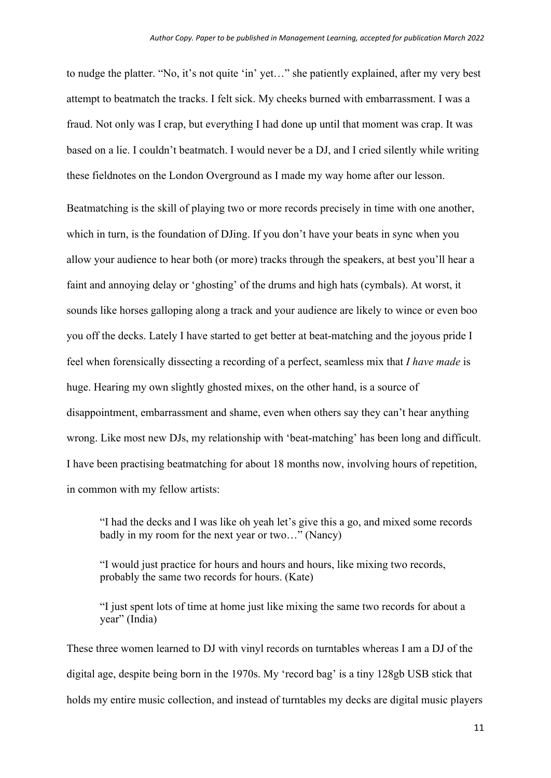to nudge the platter. "No, it's not quite 'in' yet…" she patiently explained, after my very best attempt to beatmatch the tracks. I felt sick. My cheeks burned with embarrassment. I was a fraud. Not only was I crap, but everything I had done up until that moment was crap. It was based on a lie. I couldn't beatmatch. I would never be a DJ, and I cried silently while writing these fieldnotes on the London Overground as I made my way home after our lesson.

Beatmatching is the skill of playing two or more records precisely in time with one another, which in turn, is the foundation of DJing. If you don't have your beats in sync when you allow your audience to hear both (or more) tracks through the speakers, at best you'll hear a faint and annoying delay or 'ghosting' of the drums and high hats (cymbals). At worst, it sounds like horses galloping along a track and your audience are likely to wince or even boo you off the decks. Lately I have started to get better at beat-matching and the joyous pride I feel when forensically dissecting a recording of a perfect, seamless mix that *I have made* is huge. Hearing my own slightly ghosted mixes, on the other hand, is a source of disappointment, embarrassment and shame, even when others say they can't hear anything wrong. Like most new DJs, my relationship with 'beat-matching' has been long and difficult. I have been practising beatmatching for about 18 months now, involving hours of repetition, in common with my fellow artists:

"I had the decks and I was like oh yeah let's give this a go, and mixed some records badly in my room for the next year or two…" (Nancy)

"I would just practice for hours and hours and hours, like mixing two records, probably the same two records for hours. (Kate)

"I just spent lots of time at home just like mixing the same two records for about a year" (India)

These three women learned to DJ with vinyl records on turntables whereas I am a DJ of the digital age, despite being born in the 1970s. My 'record bag' is a tiny 128gb USB stick that holds my entire music collection, and instead of turntables my decks are digital music players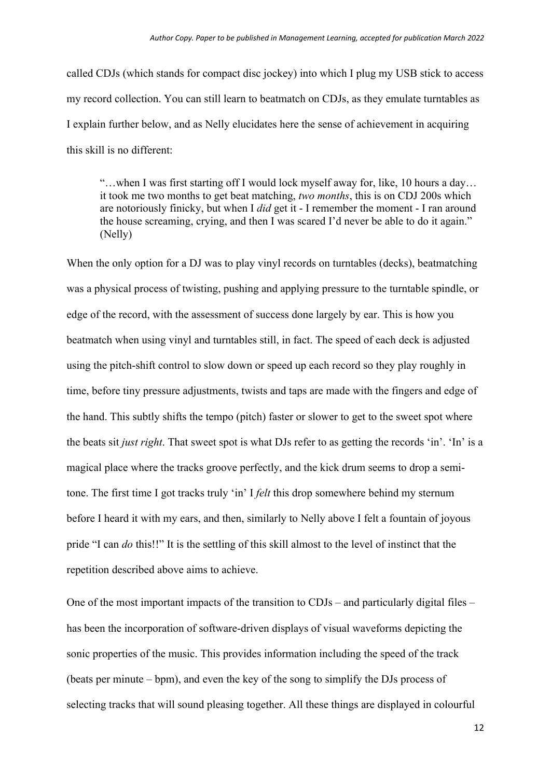called CDJs (which stands for compact disc jockey) into which I plug my USB stick to access my record collection. You can still learn to beatmatch on CDJs, as they emulate turntables as I explain further below, and as Nelly elucidates here the sense of achievement in acquiring this skill is no different:

"…when I was first starting off I would lock myself away for, like, 10 hours a day… it took me two months to get beat matching, *two months*, this is on CDJ 200s which are notoriously finicky, but when I *did* get it - I remember the moment - I ran around the house screaming, crying, and then I was scared I'd never be able to do it again." (Nelly)

When the only option for a DJ was to play vinyl records on turntables (decks), beatmatching was a physical process of twisting, pushing and applying pressure to the turntable spindle, or edge of the record, with the assessment of success done largely by ear. This is how you beatmatch when using vinyl and turntables still, in fact. The speed of each deck is adjusted using the pitch-shift control to slow down or speed up each record so they play roughly in time, before tiny pressure adjustments, twists and taps are made with the fingers and edge of the hand. This subtly shifts the tempo (pitch) faster or slower to get to the sweet spot where the beats sit *just right*. That sweet spot is what DJs refer to as getting the records 'in'. 'In' is a magical place where the tracks groove perfectly, and the kick drum seems to drop a semitone. The first time I got tracks truly 'in' I *felt* this drop somewhere behind my sternum before I heard it with my ears, and then, similarly to Nelly above I felt a fountain of joyous pride "I can *do* this!!" It is the settling of this skill almost to the level of instinct that the repetition described above aims to achieve.

One of the most important impacts of the transition to CDJs – and particularly digital files – has been the incorporation of software-driven displays of visual waveforms depicting the sonic properties of the music. This provides information including the speed of the track (beats per minute – bpm), and even the key of the song to simplify the DJs process of selecting tracks that will sound pleasing together. All these things are displayed in colourful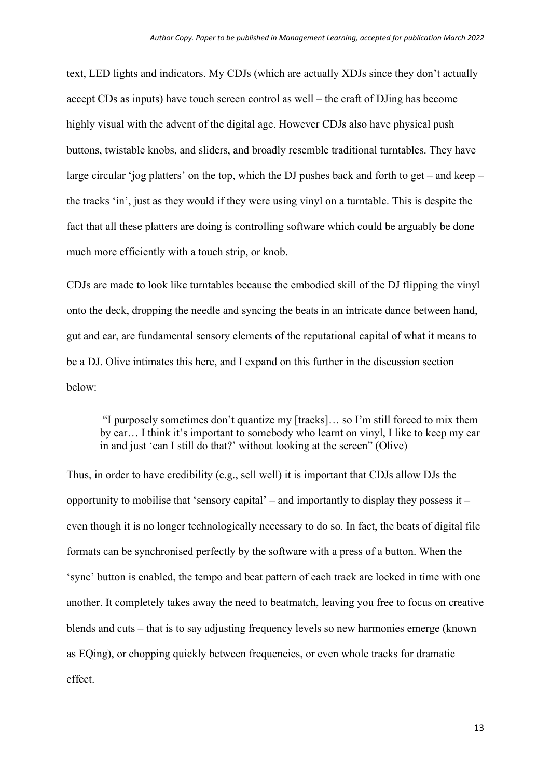text, LED lights and indicators. My CDJs (which are actually XDJs since they don't actually accept CDs as inputs) have touch screen control as well – the craft of DJing has become highly visual with the advent of the digital age. However CDJs also have physical push buttons, twistable knobs, and sliders, and broadly resemble traditional turntables. They have large circular 'jog platters' on the top, which the DJ pushes back and forth to get – and keep – the tracks 'in', just as they would if they were using vinyl on a turntable. This is despite the fact that all these platters are doing is controlling software which could be arguably be done much more efficiently with a touch strip, or knob.

CDJs are made to look like turntables because the embodied skill of the DJ flipping the vinyl onto the deck, dropping the needle and syncing the beats in an intricate dance between hand, gut and ear, are fundamental sensory elements of the reputational capital of what it means to be a DJ. Olive intimates this here, and I expand on this further in the discussion section below:

 "I purposely sometimes don't quantize my [tracks]… so I'm still forced to mix them by ear… I think it's important to somebody who learnt on vinyl, I like to keep my ear in and just 'can I still do that?' without looking at the screen" (Olive)

Thus, in order to have credibility (e.g., sell well) it is important that CDJs allow DJs the opportunity to mobilise that 'sensory capital' – and importantly to display they possess it – even though it is no longer technologically necessary to do so. In fact, the beats of digital file formats can be synchronised perfectly by the software with a press of a button. When the 'sync' button is enabled, the tempo and beat pattern of each track are locked in time with one another. It completely takes away the need to beatmatch, leaving you free to focus on creative blends and cuts – that is to say adjusting frequency levels so new harmonies emerge (known as EQing), or chopping quickly between frequencies, or even whole tracks for dramatic effect.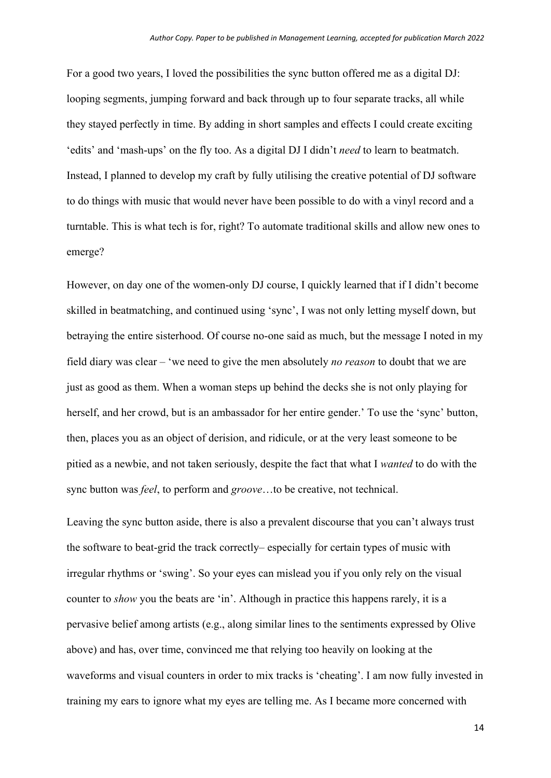For a good two years, I loved the possibilities the sync button offered me as a digital DJ: looping segments, jumping forward and back through up to four separate tracks, all while they stayed perfectly in time. By adding in short samples and effects I could create exciting 'edits' and 'mash-ups' on the fly too. As a digital DJ I didn't *need* to learn to beatmatch. Instead, I planned to develop my craft by fully utilising the creative potential of DJ software to do things with music that would never have been possible to do with a vinyl record and a turntable. This is what tech is for, right? To automate traditional skills and allow new ones to emerge?

However, on day one of the women-only DJ course, I quickly learned that if I didn't become skilled in beatmatching, and continued using 'sync', I was not only letting myself down, but betraying the entire sisterhood. Of course no-one said as much, but the message I noted in my field diary was clear – 'we need to give the men absolutely *no reason* to doubt that we are just as good as them. When a woman steps up behind the decks she is not only playing for herself, and her crowd, but is an ambassador for her entire gender.' To use the 'sync' button, then, places you as an object of derision, and ridicule, or at the very least someone to be pitied as a newbie, and not taken seriously, despite the fact that what I *wanted* to do with the sync button was *feel*, to perform and *groove*…to be creative, not technical.

Leaving the sync button aside, there is also a prevalent discourse that you can't always trust the software to beat-grid the track correctly– especially for certain types of music with irregular rhythms or 'swing'. So your eyes can mislead you if you only rely on the visual counter to *show* you the beats are 'in'. Although in practice this happens rarely, it is a pervasive belief among artists (e.g., along similar lines to the sentiments expressed by Olive above) and has, over time, convinced me that relying too heavily on looking at the waveforms and visual counters in order to mix tracks is 'cheating'. I am now fully invested in training my ears to ignore what my eyes are telling me. As I became more concerned with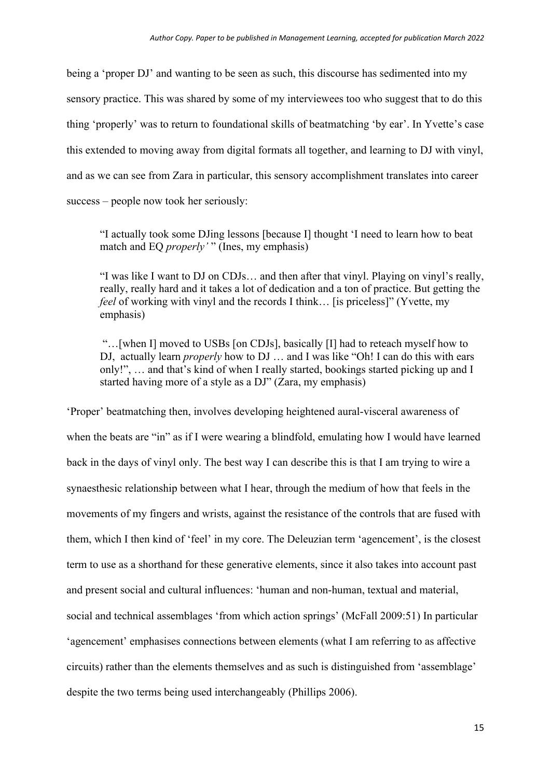being a 'proper DJ' and wanting to be seen as such, this discourse has sedimented into my sensory practice. This was shared by some of my interviewees too who suggest that to do this thing 'properly' was to return to foundational skills of beatmatching 'by ear'. In Yvette's case this extended to moving away from digital formats all together, and learning to DJ with vinyl, and as we can see from Zara in particular, this sensory accomplishment translates into career success – people now took her seriously:

"I actually took some DJing lessons [because I] thought 'I need to learn how to beat match and EQ *properly'* " (Ines, my emphasis)

"I was like I want to DJ on CDJs… and then after that vinyl. Playing on vinyl's really, really, really hard and it takes a lot of dedication and a ton of practice. But getting the *feel* of working with vinyl and the records I think… [is priceless]" (Yvette, my emphasis)

 "…[when I] moved to USBs [on CDJs], basically [I] had to reteach myself how to DJ, actually learn *properly* how to DJ … and I was like "Oh! I can do this with ears only!", … and that's kind of when I really started, bookings started picking up and I started having more of a style as a DJ" (Zara, my emphasis)

'Proper' beatmatching then, involves developing heightened aural-visceral awareness of when the beats are "in" as if I were wearing a blindfold, emulating how I would have learned back in the days of vinyl only. The best way I can describe this is that I am trying to wire a synaesthesic relationship between what I hear, through the medium of how that feels in the movements of my fingers and wrists, against the resistance of the controls that are fused with them, which I then kind of 'feel' in my core. The Deleuzian term 'agencement', is the closest term to use as a shorthand for these generative elements, since it also takes into account past and present social and cultural influences: 'human and non-human, textual and material, social and technical assemblages 'from which action springs' (McFall 2009:51) In particular 'agencement' emphasises connections between elements (what I am referring to as affective circuits) rather than the elements themselves and as such is distinguished from 'assemblage' despite the two terms being used interchangeably (Phillips 2006).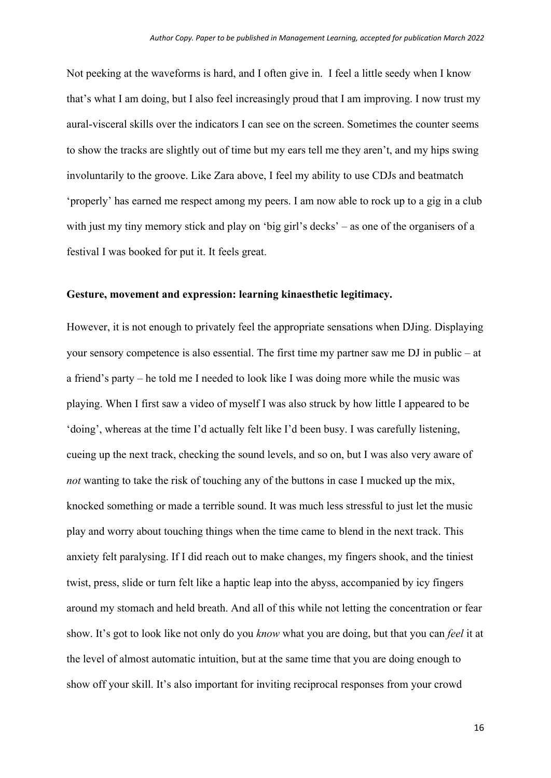Not peeking at the waveforms is hard, and I often give in. I feel a little seedy when I know that's what I am doing, but I also feel increasingly proud that I am improving. I now trust my aural-visceral skills over the indicators I can see on the screen. Sometimes the counter seems to show the tracks are slightly out of time but my ears tell me they aren't, and my hips swing involuntarily to the groove. Like Zara above, I feel my ability to use CDJs and beatmatch 'properly' has earned me respect among my peers. I am now able to rock up to a gig in a club with just my tiny memory stick and play on 'big girl's decks' – as one of the organisers of a festival I was booked for put it. It feels great.

# **Gesture, movement and expression: learning kinaesthetic legitimacy.**

However, it is not enough to privately feel the appropriate sensations when DJing. Displaying your sensory competence is also essential. The first time my partner saw me DJ in public – at a friend's party – he told me I needed to look like I was doing more while the music was playing. When I first saw a video of myself I was also struck by how little I appeared to be 'doing', whereas at the time I'd actually felt like I'd been busy. I was carefully listening, cueing up the next track, checking the sound levels, and so on, but I was also very aware of *not* wanting to take the risk of touching any of the buttons in case I mucked up the mix, knocked something or made a terrible sound. It was much less stressful to just let the music play and worry about touching things when the time came to blend in the next track. This anxiety felt paralysing. If I did reach out to make changes, my fingers shook, and the tiniest twist, press, slide or turn felt like a haptic leap into the abyss, accompanied by icy fingers around my stomach and held breath. And all of this while not letting the concentration or fear show. It's got to look like not only do you *know* what you are doing, but that you can *feel* it at the level of almost automatic intuition, but at the same time that you are doing enough to show off your skill. It's also important for inviting reciprocal responses from your crowd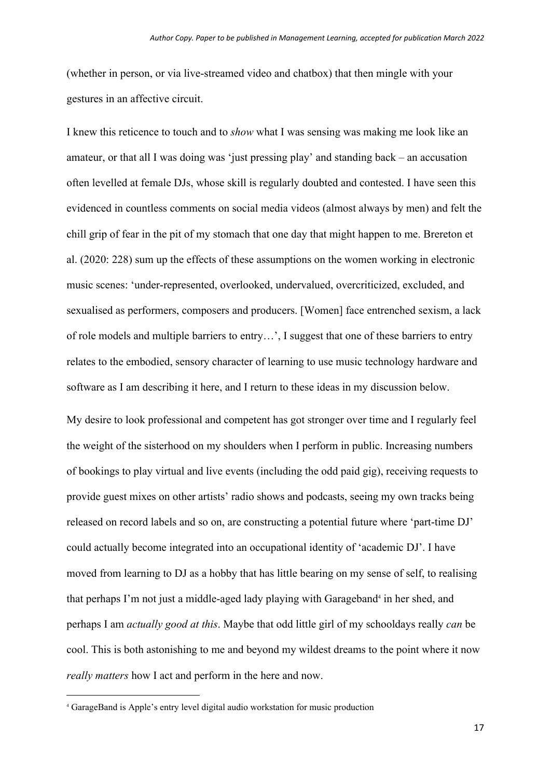(whether in person, or via live-streamed video and chatbox) that then mingle with your gestures in an affective circuit.

I knew this reticence to touch and to *show* what I was sensing was making me look like an amateur, or that all I was doing was 'just pressing play' and standing back – an accusation often levelled at female DJs, whose skill is regularly doubted and contested. I have seen this evidenced in countless comments on social media videos (almost always by men) and felt the chill grip of fear in the pit of my stomach that one day that might happen to me. Brereton et al. (2020: 228) sum up the effects of these assumptions on the women working in electronic music scenes: 'under-represented, overlooked, undervalued, overcriticized, excluded, and sexualised as performers, composers and producers. [Women] face entrenched sexism, a lack of role models and multiple barriers to entry…', I suggest that one of these barriers to entry relates to the embodied, sensory character of learning to use music technology hardware and software as I am describing it here, and I return to these ideas in my discussion below.

My desire to look professional and competent has got stronger over time and I regularly feel the weight of the sisterhood on my shoulders when I perform in public. Increasing numbers of bookings to play virtual and live events (including the odd paid gig), receiving requests to provide guest mixes on other artists' radio shows and podcasts, seeing my own tracks being released on record labels and so on, are constructing a potential future where 'part-time DJ' could actually become integrated into an occupational identity of 'academic DJ'. I have moved from learning to DJ as a hobby that has little bearing on my sense of self, to realising that perhaps I'm not just a middle-aged lady playing with Garageband<sup>4</sup> in her shed, and perhaps I am *actually good at this*. Maybe that odd little girl of my schooldays really *can* be cool. This is both astonishing to me and beyond my wildest dreams to the point where it now *really matters* how I act and perform in the here and now.

<sup>4</sup> GarageBand is Apple's entry level digital audio workstation for music production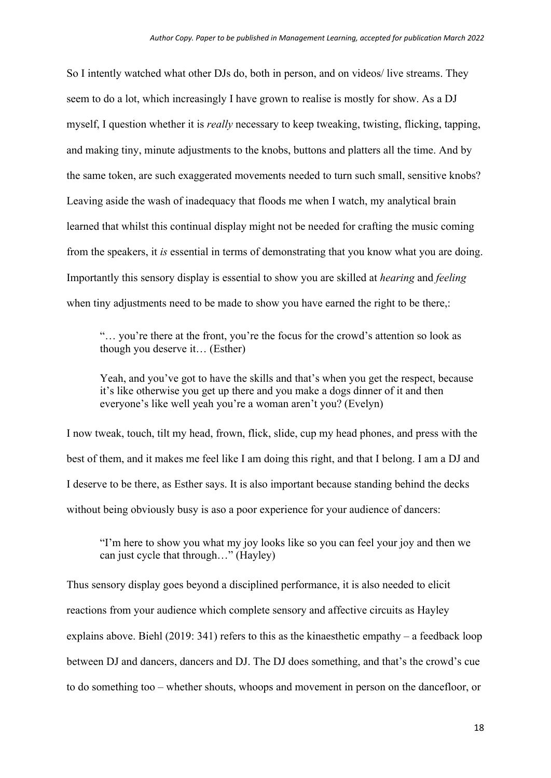So I intently watched what other DJs do, both in person, and on videos/ live streams. They seem to do a lot, which increasingly I have grown to realise is mostly for show. As a DJ myself, I question whether it is *really* necessary to keep tweaking, twisting, flicking, tapping, and making tiny, minute adjustments to the knobs, buttons and platters all the time. And by the same token, are such exaggerated movements needed to turn such small, sensitive knobs? Leaving aside the wash of inadequacy that floods me when I watch, my analytical brain learned that whilst this continual display might not be needed for crafting the music coming from the speakers, it *is* essential in terms of demonstrating that you know what you are doing. Importantly this sensory display is essential to show you are skilled at *hearing* and *feeling* when tiny adjustments need to be made to show you have earned the right to be there,:

"… you're there at the front, you're the focus for the crowd's attention so look as though you deserve it… (Esther)

Yeah, and you've got to have the skills and that's when you get the respect, because it's like otherwise you get up there and you make a dogs dinner of it and then everyone's like well yeah you're a woman aren't you? (Evelyn)

I now tweak, touch, tilt my head, frown, flick, slide, cup my head phones, and press with the best of them, and it makes me feel like I am doing this right, and that I belong. I am a DJ and I deserve to be there, as Esther says. It is also important because standing behind the decks without being obviously busy is aso a poor experience for your audience of dancers:

"I'm here to show you what my joy looks like so you can feel your joy and then we can just cycle that through…" (Hayley)

Thus sensory display goes beyond a disciplined performance, it is also needed to elicit reactions from your audience which complete sensory and affective circuits as Hayley explains above. Biehl (2019: 341) refers to this as the kinaesthetic empathy – a feedback loop between DJ and dancers, dancers and DJ. The DJ does something, and that's the crowd's cue to do something too – whether shouts, whoops and movement in person on the dancefloor, or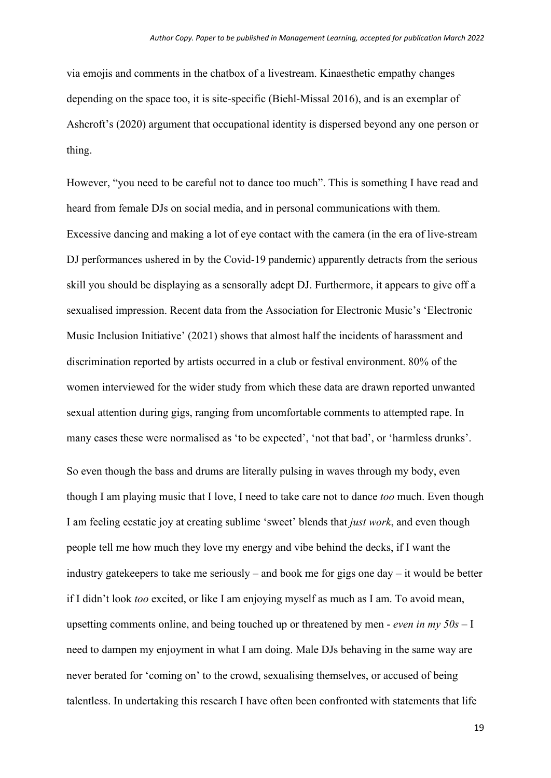via emojis and comments in the chatbox of a livestream. Kinaesthetic empathy changes depending on the space too, it is site-specific (Biehl-Missal 2016), and is an exemplar of Ashcroft's (2020) argument that occupational identity is dispersed beyond any one person or thing.

However, "you need to be careful not to dance too much". This is something I have read and heard from female DJs on social media, and in personal communications with them. Excessive dancing and making a lot of eye contact with the camera (in the era of live-stream DJ performances ushered in by the Covid-19 pandemic) apparently detracts from the serious skill you should be displaying as a sensorally adept DJ. Furthermore, it appears to give off a sexualised impression. Recent data from the Association for Electronic Music's 'Electronic Music Inclusion Initiative' (2021) shows that almost half the incidents of harassment and discrimination reported by artists occurred in a club or festival environment. 80% of the women interviewed for the wider study from which these data are drawn reported unwanted sexual attention during gigs, ranging from uncomfortable comments to attempted rape. In many cases these were normalised as 'to be expected', 'not that bad', or 'harmless drunks'.

So even though the bass and drums are literally pulsing in waves through my body, even though I am playing music that I love, I need to take care not to dance *too* much. Even though I am feeling ecstatic joy at creating sublime 'sweet' blends that *just work*, and even though people tell me how much they love my energy and vibe behind the decks, if I want the industry gatekeepers to take me seriously – and book me for gigs one day – it would be better if I didn't look *too* excited, or like I am enjoying myself as much as I am. To avoid mean, upsetting comments online, and being touched up or threatened by men - *even in my 50s –* I need to dampen my enjoyment in what I am doing. Male DJs behaving in the same way are never berated for 'coming on' to the crowd, sexualising themselves, or accused of being talentless. In undertaking this research I have often been confronted with statements that life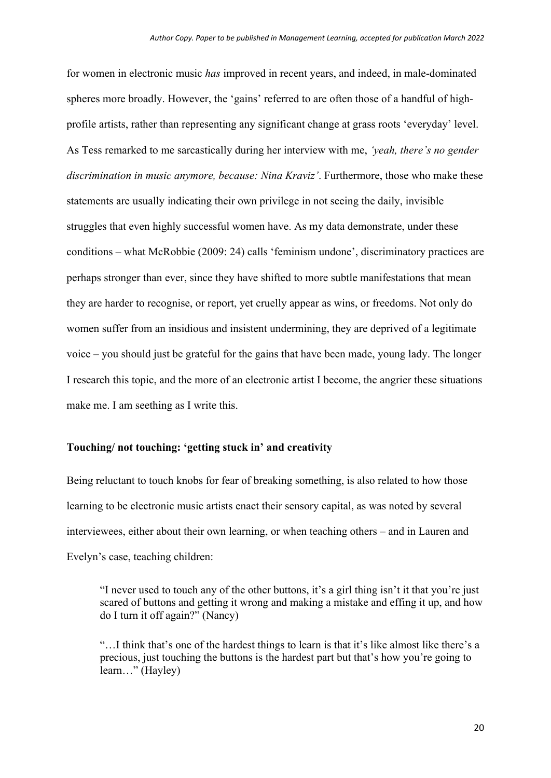for women in electronic music *has* improved in recent years, and indeed, in male-dominated spheres more broadly. However, the 'gains' referred to are often those of a handful of highprofile artists, rather than representing any significant change at grass roots 'everyday' level. As Tess remarked to me sarcastically during her interview with me, *'yeah, there's no gender discrimination in music anymore, because: Nina Kraviz'*. Furthermore, those who make these statements are usually indicating their own privilege in not seeing the daily, invisible struggles that even highly successful women have. As my data demonstrate, under these conditions – what McRobbie (2009: 24) calls 'feminism undone', discriminatory practices are perhaps stronger than ever, since they have shifted to more subtle manifestations that mean they are harder to recognise, or report, yet cruelly appear as wins, or freedoms. Not only do women suffer from an insidious and insistent undermining, they are deprived of a legitimate voice – you should just be grateful for the gains that have been made, young lady. The longer I research this topic, and the more of an electronic artist I become, the angrier these situations make me. I am seething as I write this.

# **Touching/ not touching: 'getting stuck in' and creativity**

Being reluctant to touch knobs for fear of breaking something, is also related to how those learning to be electronic music artists enact their sensory capital, as was noted by several interviewees, either about their own learning, or when teaching others – and in Lauren and Evelyn's case, teaching children:

"I never used to touch any of the other buttons, it's a girl thing isn't it that you're just scared of buttons and getting it wrong and making a mistake and effing it up, and how do I turn it off again?" (Nancy)

"…I think that's one of the hardest things to learn is that it's like almost like there's a precious, just touching the buttons is the hardest part but that's how you're going to learn…" (Hayley)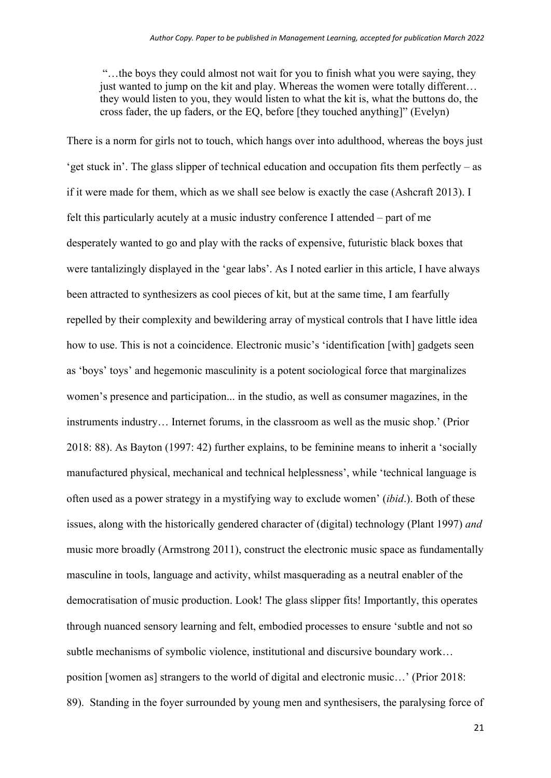"…the boys they could almost not wait for you to finish what you were saying, they just wanted to jump on the kit and play. Whereas the women were totally different… they would listen to you, they would listen to what the kit is, what the buttons do, the cross fader, the up faders, or the EQ, before [they touched anything]" (Evelyn)

There is a norm for girls not to touch, which hangs over into adulthood, whereas the boys just 'get stuck in'. The glass slipper of technical education and occupation fits them perfectly – as if it were made for them, which as we shall see below is exactly the case (Ashcraft 2013). I felt this particularly acutely at a music industry conference I attended – part of me desperately wanted to go and play with the racks of expensive, futuristic black boxes that were tantalizingly displayed in the 'gear labs'. As I noted earlier in this article, I have always been attracted to synthesizers as cool pieces of kit, but at the same time, I am fearfully repelled by their complexity and bewildering array of mystical controls that I have little idea how to use. This is not a coincidence. Electronic music's 'identification [with] gadgets seen as 'boys' toys' and hegemonic masculinity is a potent sociological force that marginalizes women's presence and participation... in the studio, as well as consumer magazines, in the instruments industry… Internet forums, in the classroom as well as the music shop.' (Prior 2018: 88). As Bayton (1997: 42) further explains, to be feminine means to inherit a 'socially manufactured physical, mechanical and technical helplessness', while 'technical language is often used as a power strategy in a mystifying way to exclude women' (*ibid*.). Both of these issues, along with the historically gendered character of (digital) technology (Plant 1997) *and*  music more broadly (Armstrong 2011), construct the electronic music space as fundamentally masculine in tools, language and activity, whilst masquerading as a neutral enabler of the democratisation of music production. Look! The glass slipper fits! Importantly, this operates through nuanced sensory learning and felt, embodied processes to ensure 'subtle and not so subtle mechanisms of symbolic violence, institutional and discursive boundary work… position [women as] strangers to the world of digital and electronic music…' (Prior 2018: 89). Standing in the foyer surrounded by young men and synthesisers, the paralysing force of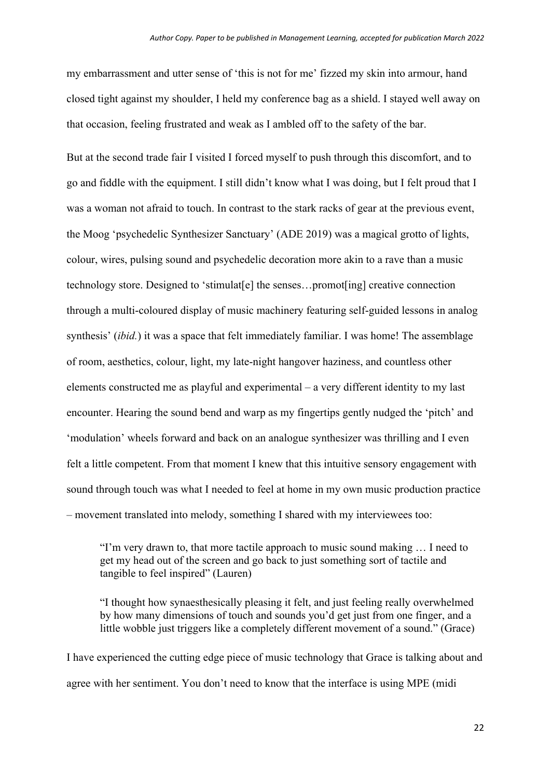my embarrassment and utter sense of 'this is not for me' fizzed my skin into armour, hand closed tight against my shoulder, I held my conference bag as a shield. I stayed well away on that occasion, feeling frustrated and weak as I ambled off to the safety of the bar.

But at the second trade fair I visited I forced myself to push through this discomfort, and to go and fiddle with the equipment. I still didn't know what I was doing, but I felt proud that I was a woman not afraid to touch. In contrast to the stark racks of gear at the previous event, the Moog 'psychedelic Synthesizer Sanctuary' (ADE 2019) was a magical grotto of lights, colour, wires, pulsing sound and psychedelic decoration more akin to a rave than a music technology store. Designed to 'stimulat[e] the senses…promot[ing] creative connection through a multi-coloured display of music machinery featuring self-guided lessons in analog synthesis' *(ibid.)* it was a space that felt immediately familiar. I was home! The assemblage of room, aesthetics, colour, light, my late-night hangover haziness, and countless other elements constructed me as playful and experimental – a very different identity to my last encounter. Hearing the sound bend and warp as my fingertips gently nudged the 'pitch' and 'modulation' wheels forward and back on an analogue synthesizer was thrilling and I even felt a little competent. From that moment I knew that this intuitive sensory engagement with sound through touch was what I needed to feel at home in my own music production practice – movement translated into melody, something I shared with my interviewees too:

"I'm very drawn to, that more tactile approach to music sound making … I need to get my head out of the screen and go back to just something sort of tactile and tangible to feel inspired" (Lauren)

"I thought how synaesthesically pleasing it felt, and just feeling really overwhelmed by how many dimensions of touch and sounds you'd get just from one finger, and a little wobble just triggers like a completely different movement of a sound." (Grace)

I have experienced the cutting edge piece of music technology that Grace is talking about and agree with her sentiment. You don't need to know that the interface is using MPE (midi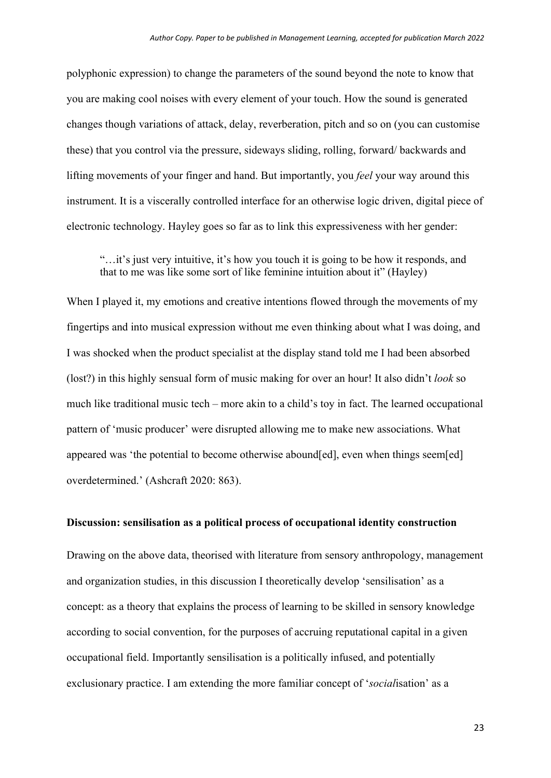polyphonic expression) to change the parameters of the sound beyond the note to know that you are making cool noises with every element of your touch. How the sound is generated changes though variations of attack, delay, reverberation, pitch and so on (you can customise these) that you control via the pressure, sideways sliding, rolling, forward/ backwards and lifting movements of your finger and hand. But importantly, you *feel* your way around this instrument. It is a viscerally controlled interface for an otherwise logic driven, digital piece of electronic technology. Hayley goes so far as to link this expressiveness with her gender:

"…it's just very intuitive, it's how you touch it is going to be how it responds, and that to me was like some sort of like feminine intuition about it" (Hayley)

When I played it, my emotions and creative intentions flowed through the movements of my fingertips and into musical expression without me even thinking about what I was doing, and I was shocked when the product specialist at the display stand told me I had been absorbed (lost?) in this highly sensual form of music making for over an hour! It also didn't *look* so much like traditional music tech – more akin to a child's toy in fact. The learned occupational pattern of 'music producer' were disrupted allowing me to make new associations. What appeared was 'the potential to become otherwise abound[ed], even when things seem[ed] overdetermined.' (Ashcraft 2020: 863).

# **Discussion: sensilisation as a political process of occupational identity construction**

Drawing on the above data, theorised with literature from sensory anthropology, management and organization studies, in this discussion I theoretically develop 'sensilisation' as a concept: as a theory that explains the process of learning to be skilled in sensory knowledge according to social convention, for the purposes of accruing reputational capital in a given occupational field. Importantly sensilisation is a politically infused, and potentially exclusionary practice. I am extending the more familiar concept of '*social*isation' as a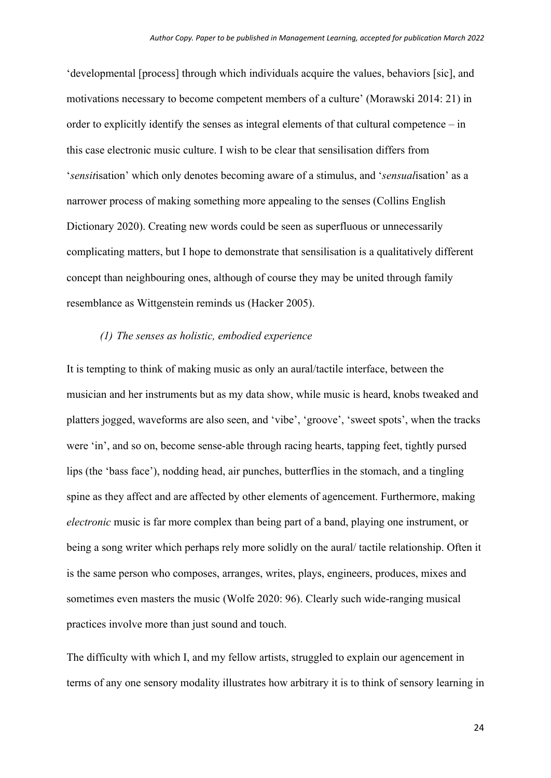'developmental [process] through which individuals acquire the values, behaviors [sic], and motivations necessary to become competent members of a culture' (Morawski 2014: 21) in order to explicitly identify the senses as integral elements of that cultural competence – in this case electronic music culture. I wish to be clear that sensilisation differs from '*sensit*isation' which only denotes becoming aware of a stimulus, and '*sensual*isation' as a narrower process of making something more appealing to the senses (Collins English Dictionary 2020). Creating new words could be seen as superfluous or unnecessarily complicating matters, but I hope to demonstrate that sensilisation is a qualitatively different concept than neighbouring ones, although of course they may be united through family resemblance as Wittgenstein reminds us (Hacker 2005).

# *(1) The senses as holistic, embodied experience*

It is tempting to think of making music as only an aural/tactile interface, between the musician and her instruments but as my data show, while music is heard, knobs tweaked and platters jogged, waveforms are also seen, and 'vibe', 'groove', 'sweet spots', when the tracks were 'in', and so on, become sense-able through racing hearts, tapping feet, tightly pursed lips (the 'bass face'), nodding head, air punches, butterflies in the stomach, and a tingling spine as they affect and are affected by other elements of agencement. Furthermore, making *electronic* music is far more complex than being part of a band, playing one instrument, or being a song writer which perhaps rely more solidly on the aural/ tactile relationship. Often it is the same person who composes, arranges, writes, plays, engineers, produces, mixes and sometimes even masters the music (Wolfe 2020: 96). Clearly such wide-ranging musical practices involve more than just sound and touch.

The difficulty with which I, and my fellow artists, struggled to explain our agencement in terms of any one sensory modality illustrates how arbitrary it is to think of sensory learning in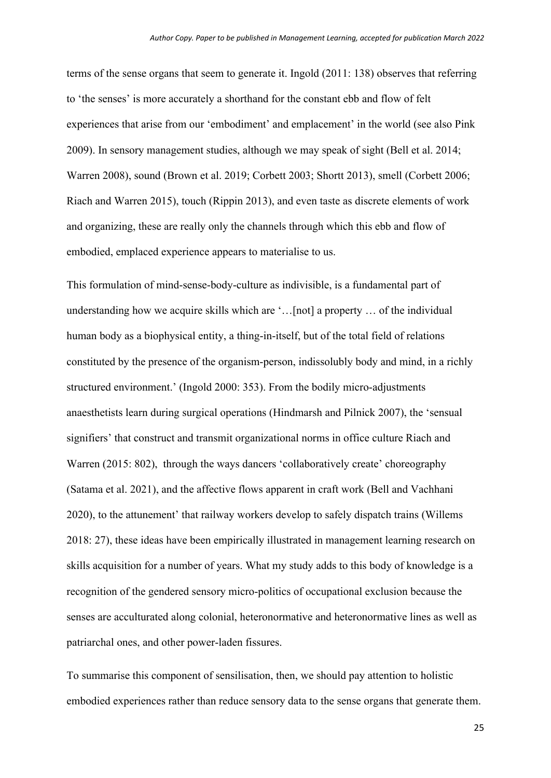terms of the sense organs that seem to generate it. Ingold (2011: 138) observes that referring to 'the senses' is more accurately a shorthand for the constant ebb and flow of felt experiences that arise from our 'embodiment' and emplacement' in the world (see also Pink 2009). In sensory management studies, although we may speak of sight (Bell et al. 2014; Warren 2008), sound (Brown et al. 2019; Corbett 2003; Shortt 2013), smell (Corbett 2006; Riach and Warren 2015), touch (Rippin 2013), and even taste as discrete elements of work and organizing, these are really only the channels through which this ebb and flow of embodied, emplaced experience appears to materialise to us.

This formulation of mind-sense-body-culture as indivisible, is a fundamental part of understanding how we acquire skills which are '…[not] a property … of the individual human body as a biophysical entity, a thing-in-itself, but of the total field of relations constituted by the presence of the organism-person, indissolubly body and mind, in a richly structured environment.' (Ingold 2000: 353). From the bodily micro-adjustments anaesthetists learn during surgical operations (Hindmarsh and Pilnick 2007), the 'sensual signifiers' that construct and transmit organizational norms in office culture Riach and Warren (2015: 802), through the ways dancers 'collaboratively create' choreography (Satama et al. 2021), and the affective flows apparent in craft work (Bell and Vachhani 2020), to the attunement' that railway workers develop to safely dispatch trains (Willems 2018: 27), these ideas have been empirically illustrated in management learning research on skills acquisition for a number of years. What my study adds to this body of knowledge is a recognition of the gendered sensory micro-politics of occupational exclusion because the senses are acculturated along colonial, heteronormative and heteronormative lines as well as patriarchal ones, and other power-laden fissures.

To summarise this component of sensilisation, then, we should pay attention to holistic embodied experiences rather than reduce sensory data to the sense organs that generate them.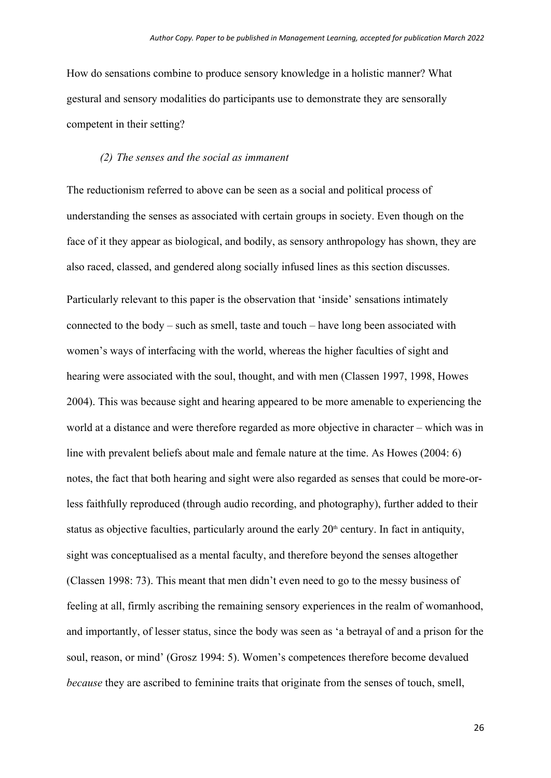How do sensations combine to produce sensory knowledge in a holistic manner? What gestural and sensory modalities do participants use to demonstrate they are sensorally competent in their setting?

# *(2) The senses and the social as immanent*

The reductionism referred to above can be seen as a social and political process of understanding the senses as associated with certain groups in society. Even though on the face of it they appear as biological, and bodily, as sensory anthropology has shown, they are also raced, classed, and gendered along socially infused lines as this section discusses.

Particularly relevant to this paper is the observation that 'inside' sensations intimately connected to the body – such as smell, taste and touch – have long been associated with women's ways of interfacing with the world, whereas the higher faculties of sight and hearing were associated with the soul, thought, and with men (Classen 1997, 1998, Howes 2004). This was because sight and hearing appeared to be more amenable to experiencing the world at a distance and were therefore regarded as more objective in character – which was in line with prevalent beliefs about male and female nature at the time. As Howes (2004: 6) notes, the fact that both hearing and sight were also regarded as senses that could be more-orless faithfully reproduced (through audio recording, and photography), further added to their status as objective faculties, particularly around the early  $20<sup>th</sup>$  century. In fact in antiquity, sight was conceptualised as a mental faculty, and therefore beyond the senses altogether (Classen 1998: 73). This meant that men didn't even need to go to the messy business of feeling at all, firmly ascribing the remaining sensory experiences in the realm of womanhood, and importantly, of lesser status, since the body was seen as 'a betrayal of and a prison for the soul, reason, or mind' (Grosz 1994: 5). Women's competences therefore become devalued *because* they are ascribed to feminine traits that originate from the senses of touch, smell,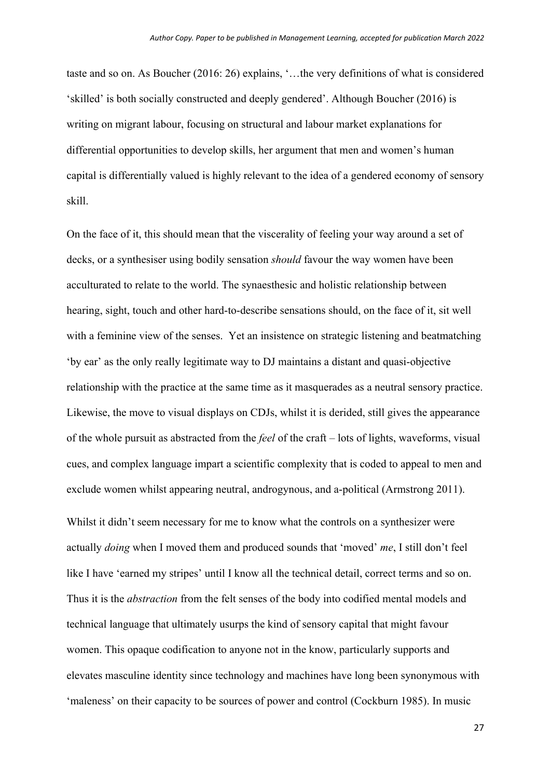taste and so on. As Boucher (2016: 26) explains, '…the very definitions of what is considered 'skilled' is both socially constructed and deeply gendered'. Although Boucher (2016) is writing on migrant labour, focusing on structural and labour market explanations for differential opportunities to develop skills, her argument that men and women's human capital is differentially valued is highly relevant to the idea of a gendered economy of sensory skill.

On the face of it, this should mean that the viscerality of feeling your way around a set of decks, or a synthesiser using bodily sensation *should* favour the way women have been acculturated to relate to the world. The synaesthesic and holistic relationship between hearing, sight, touch and other hard-to-describe sensations should, on the face of it, sit well with a feminine view of the senses. Yet an insistence on strategic listening and beatmatching 'by ear' as the only really legitimate way to DJ maintains a distant and quasi-objective relationship with the practice at the same time as it masquerades as a neutral sensory practice. Likewise, the move to visual displays on CDJs, whilst it is derided, still gives the appearance of the whole pursuit as abstracted from the *feel* of the craft – lots of lights, waveforms, visual cues, and complex language impart a scientific complexity that is coded to appeal to men and exclude women whilst appearing neutral, androgynous, and a-political (Armstrong 2011).

Whilst it didn't seem necessary for me to know what the controls on a synthesizer were actually *doing* when I moved them and produced sounds that 'moved' *me*, I still don't feel like I have 'earned my stripes' until I know all the technical detail, correct terms and so on. Thus it is the *abstraction* from the felt senses of the body into codified mental models and technical language that ultimately usurps the kind of sensory capital that might favour women. This opaque codification to anyone not in the know, particularly supports and elevates masculine identity since technology and machines have long been synonymous with 'maleness' on their capacity to be sources of power and control (Cockburn 1985). In music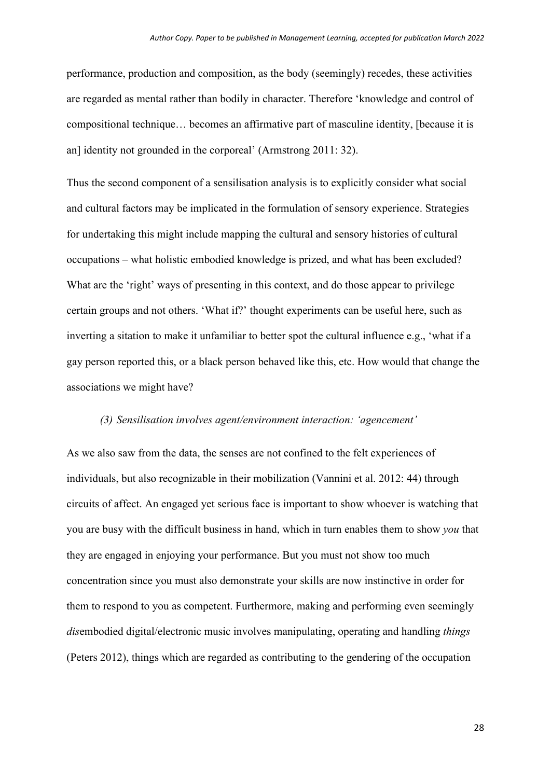performance, production and composition, as the body (seemingly) recedes, these activities are regarded as mental rather than bodily in character. Therefore 'knowledge and control of compositional technique… becomes an affirmative part of masculine identity, [because it is an] identity not grounded in the corporeal' (Armstrong 2011: 32).

Thus the second component of a sensilisation analysis is to explicitly consider what social and cultural factors may be implicated in the formulation of sensory experience. Strategies for undertaking this might include mapping the cultural and sensory histories of cultural occupations – what holistic embodied knowledge is prized, and what has been excluded? What are the 'right' ways of presenting in this context, and do those appear to privilege certain groups and not others. 'What if?' thought experiments can be useful here, such as inverting a sitation to make it unfamiliar to better spot the cultural influence e.g., 'what if a gay person reported this, or a black person behaved like this, etc. How would that change the associations we might have?

#### *(3) Sensilisation involves agent/environment interaction: 'agencement'*

As we also saw from the data, the senses are not confined to the felt experiences of individuals, but also recognizable in their mobilization (Vannini et al. 2012: 44) through circuits of affect. An engaged yet serious face is important to show whoever is watching that you are busy with the difficult business in hand, which in turn enables them to show *you* that they are engaged in enjoying your performance. But you must not show too much concentration since you must also demonstrate your skills are now instinctive in order for them to respond to you as competent. Furthermore, making and performing even seemingly *dis*embodied digital/electronic music involves manipulating, operating and handling *things* (Peters 2012), things which are regarded as contributing to the gendering of the occupation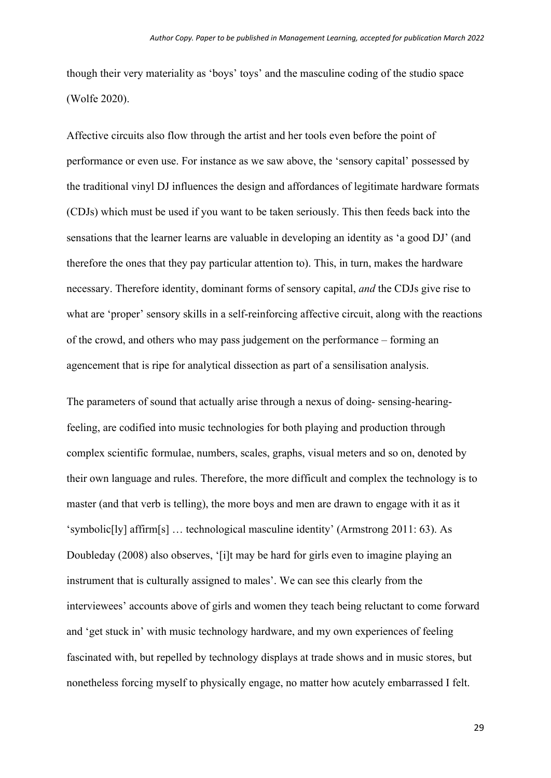though their very materiality as 'boys' toys' and the masculine coding of the studio space (Wolfe 2020).

Affective circuits also flow through the artist and her tools even before the point of performance or even use. For instance as we saw above, the 'sensory capital' possessed by the traditional vinyl DJ influences the design and affordances of legitimate hardware formats (CDJs) which must be used if you want to be taken seriously. This then feeds back into the sensations that the learner learns are valuable in developing an identity as 'a good DJ' (and therefore the ones that they pay particular attention to). This, in turn, makes the hardware necessary. Therefore identity, dominant forms of sensory capital, *and* the CDJs give rise to what are 'proper' sensory skills in a self-reinforcing affective circuit, along with the reactions of the crowd, and others who may pass judgement on the performance – forming an agencement that is ripe for analytical dissection as part of a sensilisation analysis.

The parameters of sound that actually arise through a nexus of doing- sensing-hearingfeeling, are codified into music technologies for both playing and production through complex scientific formulae, numbers, scales, graphs, visual meters and so on, denoted by their own language and rules. Therefore, the more difficult and complex the technology is to master (and that verb is telling), the more boys and men are drawn to engage with it as it 'symbolic[ly] affirm[s] … technological masculine identity' (Armstrong 2011: 63). As Doubleday (2008) also observes, '[i]t may be hard for girls even to imagine playing an instrument that is culturally assigned to males'. We can see this clearly from the interviewees' accounts above of girls and women they teach being reluctant to come forward and 'get stuck in' with music technology hardware, and my own experiences of feeling fascinated with, but repelled by technology displays at trade shows and in music stores, but nonetheless forcing myself to physically engage, no matter how acutely embarrassed I felt.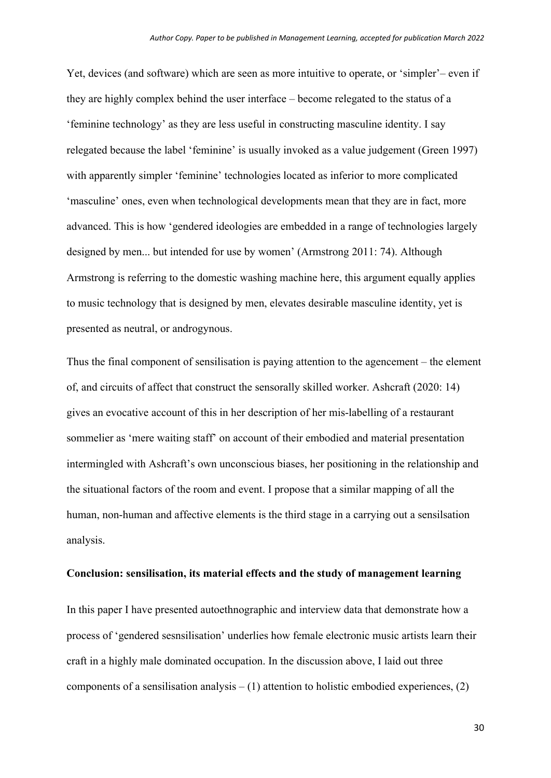Yet, devices (and software) which are seen as more intuitive to operate, or 'simpler'– even if they are highly complex behind the user interface – become relegated to the status of a 'feminine technology' as they are less useful in constructing masculine identity. I say relegated because the label 'feminine' is usually invoked as a value judgement (Green 1997) with apparently simpler 'feminine' technologies located as inferior to more complicated 'masculine' ones, even when technological developments mean that they are in fact, more advanced. This is how 'gendered ideologies are embedded in a range of technologies largely designed by men... but intended for use by women' (Armstrong 2011: 74). Although Armstrong is referring to the domestic washing machine here, this argument equally applies to music technology that is designed by men, elevates desirable masculine identity, yet is presented as neutral, or androgynous.

Thus the final component of sensilisation is paying attention to the agencement – the element of, and circuits of affect that construct the sensorally skilled worker. Ashcraft (2020: 14) gives an evocative account of this in her description of her mis-labelling of a restaurant sommelier as 'mere waiting staff' on account of their embodied and material presentation intermingled with Ashcraft's own unconscious biases, her positioning in the relationship and the situational factors of the room and event. I propose that a similar mapping of all the human, non-human and affective elements is the third stage in a carrying out a sensilsation analysis.

## **Conclusion: sensilisation, its material effects and the study of management learning**

In this paper I have presented autoethnographic and interview data that demonstrate how a process of 'gendered sesnsilisation' underlies how female electronic music artists learn their craft in a highly male dominated occupation. In the discussion above, I laid out three components of a sensilisation analysis  $- (1)$  attention to holistic embodied experiences,  $(2)$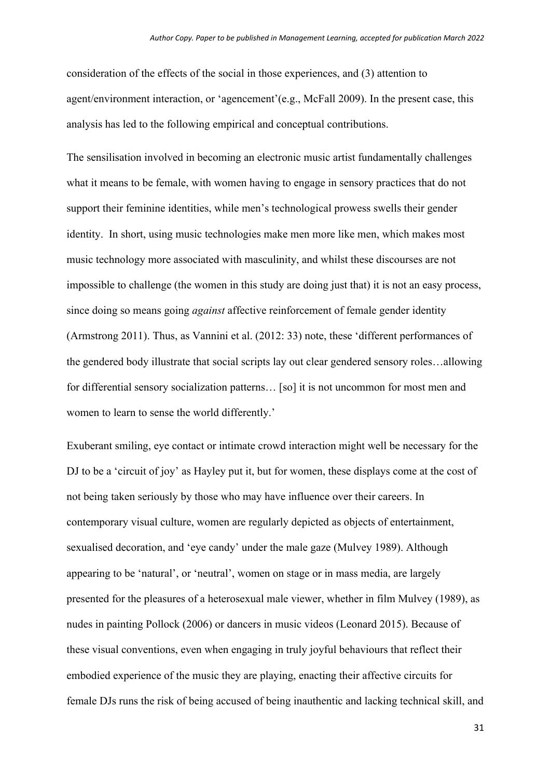consideration of the effects of the social in those experiences, and (3) attention to agent/environment interaction, or 'agencement'(e.g., McFall 2009). In the present case, this analysis has led to the following empirical and conceptual contributions.

The sensilisation involved in becoming an electronic music artist fundamentally challenges what it means to be female, with women having to engage in sensory practices that do not support their feminine identities, while men's technological prowess swells their gender identity. In short, using music technologies make men more like men, which makes most music technology more associated with masculinity, and whilst these discourses are not impossible to challenge (the women in this study are doing just that) it is not an easy process, since doing so means going *against* affective reinforcement of female gender identity (Armstrong 2011). Thus, as Vannini et al. (2012: 33) note, these 'different performances of the gendered body illustrate that social scripts lay out clear gendered sensory roles…allowing for differential sensory socialization patterns… [so] it is not uncommon for most men and women to learn to sense the world differently.'

Exuberant smiling, eye contact or intimate crowd interaction might well be necessary for the DJ to be a 'circuit of joy' as Hayley put it, but for women, these displays come at the cost of not being taken seriously by those who may have influence over their careers. In contemporary visual culture, women are regularly depicted as objects of entertainment, sexualised decoration, and 'eye candy' under the male gaze (Mulvey 1989). Although appearing to be 'natural', or 'neutral', women on stage or in mass media, are largely presented for the pleasures of a heterosexual male viewer, whether in film Mulvey (1989), as nudes in painting Pollock (2006) or dancers in music videos (Leonard 2015). Because of these visual conventions, even when engaging in truly joyful behaviours that reflect their embodied experience of the music they are playing, enacting their affective circuits for female DJs runs the risk of being accused of being inauthentic and lacking technical skill, and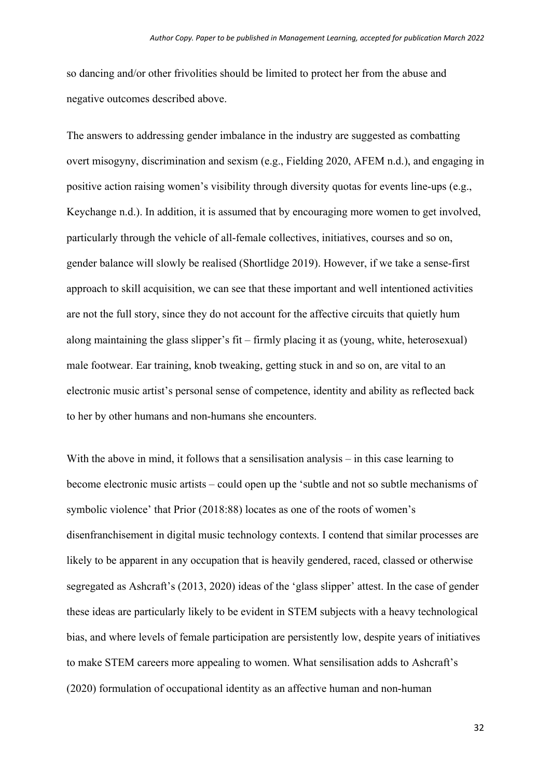so dancing and/or other frivolities should be limited to protect her from the abuse and negative outcomes described above.

The answers to addressing gender imbalance in the industry are suggested as combatting overt misogyny, discrimination and sexism (e.g., Fielding 2020, AFEM n.d.), and engaging in positive action raising women's visibility through diversity quotas for events line-ups (e.g., Keychange n.d.). In addition, it is assumed that by encouraging more women to get involved, particularly through the vehicle of all-female collectives, initiatives, courses and so on, gender balance will slowly be realised (Shortlidge 2019). However, if we take a sense-first approach to skill acquisition, we can see that these important and well intentioned activities are not the full story, since they do not account for the affective circuits that quietly hum along maintaining the glass slipper's fit – firmly placing it as (young, white, heterosexual) male footwear. Ear training, knob tweaking, getting stuck in and so on, are vital to an electronic music artist's personal sense of competence, identity and ability as reflected back to her by other humans and non-humans she encounters.

With the above in mind, it follows that a sensilisation analysis – in this case learning to become electronic music artists – could open up the 'subtle and not so subtle mechanisms of symbolic violence' that Prior (2018:88) locates as one of the roots of women's disenfranchisement in digital music technology contexts. I contend that similar processes are likely to be apparent in any occupation that is heavily gendered, raced, classed or otherwise segregated as Ashcraft's (2013, 2020) ideas of the 'glass slipper' attest. In the case of gender these ideas are particularly likely to be evident in STEM subjects with a heavy technological bias, and where levels of female participation are persistently low, despite years of initiatives to make STEM careers more appealing to women. What sensilisation adds to Ashcraft's (2020) formulation of occupational identity as an affective human and non-human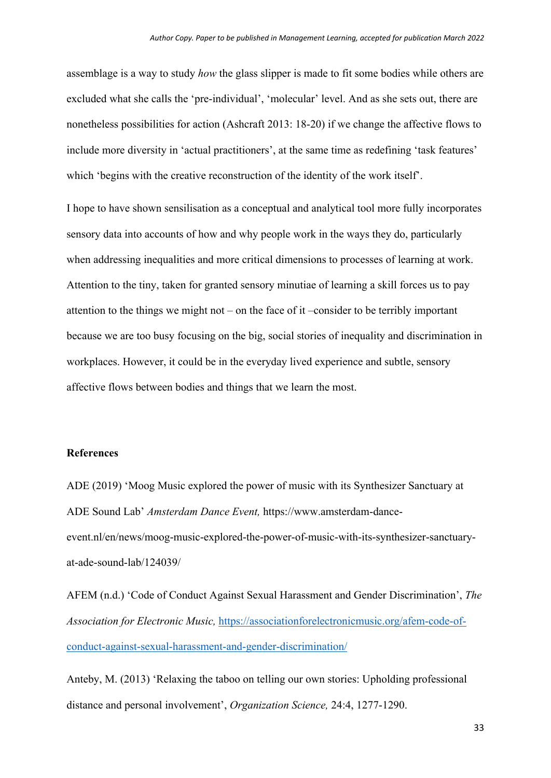assemblage is a way to study *how* the glass slipper is made to fit some bodies while others are excluded what she calls the 'pre-individual', 'molecular' level. And as she sets out, there are nonetheless possibilities for action (Ashcraft 2013: 18-20) if we change the affective flows to include more diversity in 'actual practitioners', at the same time as redefining 'task features' which 'begins with the creative reconstruction of the identity of the work itself'.

I hope to have shown sensilisation as a conceptual and analytical tool more fully incorporates sensory data into accounts of how and why people work in the ways they do, particularly when addressing inequalities and more critical dimensions to processes of learning at work. Attention to the tiny, taken for granted sensory minutiae of learning a skill forces us to pay attention to the things we might not – on the face of it –consider to be terribly important because we are too busy focusing on the big, social stories of inequality and discrimination in workplaces. However, it could be in the everyday lived experience and subtle, sensory affective flows between bodies and things that we learn the most.

### **References**

ADE (2019) 'Moog Music explored the power of music with its Synthesizer Sanctuary at ADE Sound Lab' *Amsterdam Dance Event,* https://www.amsterdam-danceevent.nl/en/news/moog-music-explored-the-power-of-music-with-its-synthesizer-sanctuaryat-ade-sound-lab/124039/

AFEM (n.d.) 'Code of Conduct Against Sexual Harassment and Gender Discrimination', *The Association for Electronic Music,* https://associationforelectronicmusic.org/afem-code-ofconduct-against-sexual-harassment-and-gender-discrimination/

Anteby, M. (2013) 'Relaxing the taboo on telling our own stories: Upholding professional distance and personal involvement', *Organization Science,* 24:4, 1277-1290.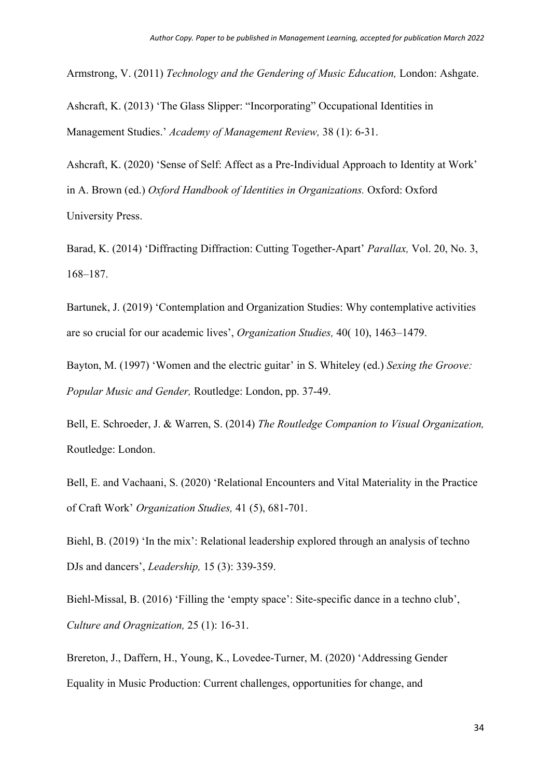Armstrong, V. (2011) *Technology and the Gendering of Music Education,* London: Ashgate.

Ashcraft, K. (2013) 'The Glass Slipper: "Incorporating" Occupational Identities in Management Studies.' *Academy of Management Review,* 38 (1): 6-31.

Ashcraft, K. (2020) 'Sense of Self: Affect as a Pre-Individual Approach to Identity at Work' in A. Brown (ed.) *Oxford Handbook of Identities in Organizations.* Oxford: Oxford University Press.

Barad, K. (2014) 'Diffracting Diffraction: Cutting Together-Apart' *Parallax,* Vol. 20, No. 3, 168–187.

Bartunek, J. (2019) 'Contemplation and Organization Studies: Why contemplative activities are so crucial for our academic lives', *Organization Studies,* 40( 10), 1463–1479.

Bayton, M. (1997) 'Women and the electric guitar' in S. Whiteley (ed.) *Sexing the Groove: Popular Music and Gender,* Routledge: London, pp. 37-49.

Bell, E. Schroeder, J. & Warren, S. (2014) *The Routledge Companion to Visual Organization,*  Routledge: London.

Bell, E. and Vachaani, S. (2020) 'Relational Encounters and Vital Materiality in the Practice of Craft Work' *Organization Studies,* 41 (5), 681-701.

Biehl, B. (2019) 'In the mix': Relational leadership explored through an analysis of techno DJs and dancers', *Leadership,* 15 (3): 339-359.

Biehl-Missal, B. (2016) 'Filling the 'empty space': Site-specific dance in a techno club', *Culture and Oragnization,* 25 (1): 16-31.

Brereton, J., Daffern, H., Young, K., Lovedee-Turner, M. (2020) 'Addressing Gender Equality in Music Production: Current challenges, opportunities for change, and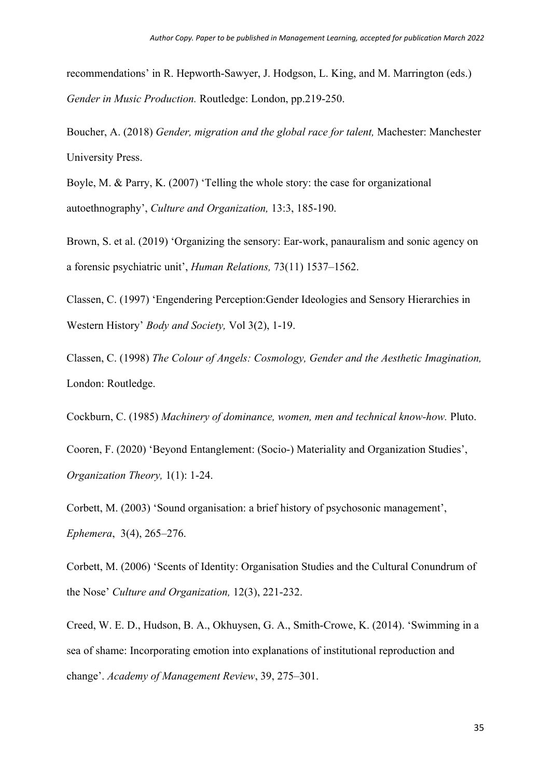recommendations' in R. Hepworth-Sawyer, J. Hodgson, L. King, and M. Marrington (eds.) *Gender in Music Production.* Routledge: London, pp.219-250.

Boucher, A. (2018) *Gender, migration and the global race for talent,* Machester: Manchester University Press.

Boyle, M. & Parry, K. (2007) 'Telling the whole story: the case for organizational autoethnography', *Culture and Organization,* 13:3, 185-190.

Brown, S. et al. (2019) 'Organizing the sensory: Ear-work, panauralism and sonic agency on a forensic psychiatric unit', *Human Relations,* 73(11) 1537–1562.

Classen, C. (1997) 'Engendering Perception:Gender Ideologies and Sensory Hierarchies in Western History' *Body and Society,* Vol 3(2), 1-19.

Classen, C. (1998) *The Colour of Angels: Cosmology, Gender and the Aesthetic Imagination,* London: Routledge.

Cockburn, C. (1985) *Machinery of dominance, women, men and technical know-how.* Pluto.

Cooren, F. (2020) 'Beyond Entanglement: (Socio-) Materiality and Organization Studies', *Organization Theory,* 1(1): 1-24.

Corbett, M. (2003) 'Sound organisation: a brief history of psychosonic management', *Ephemera*, 3(4), 265–276.

Corbett, M. (2006) 'Scents of Identity: Organisation Studies and the Cultural Conundrum of the Nose' *Culture and Organization,* 12(3), 221-232.

Creed, W. E. D., Hudson, B. A., Okhuysen, G. A., Smith-Crowe, K. (2014). 'Swimming in a sea of shame: Incorporating emotion into explanations of institutional reproduction and change'. *Academy of Management Review*, 39, 275–301.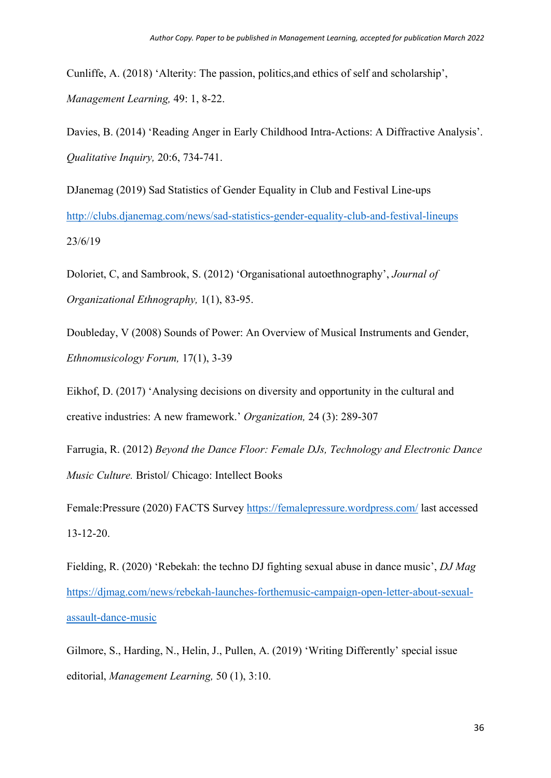Cunliffe, A. (2018) 'Alterity: The passion, politics,and ethics of self and scholarship', *Management Learning,* 49: 1, 8-22.

Davies, B. (2014) 'Reading Anger in Early Childhood Intra-Actions: A Diffractive Analysis'. *Qualitative Inquiry,* 20:6, 734-741.

DJanemag (2019) Sad Statistics of Gender Equality in Club and Festival Line-ups http://clubs.djanemag.com/news/sad-statistics-gender-equality-club-and-festival-lineups 23/6/19

Doloriet, C, and Sambrook, S. (2012) 'Organisational autoethnography', *Journal of Organizational Ethnography,* 1(1), 83-95.

Doubleday, V (2008) Sounds of Power: An Overview of Musical Instruments and Gender, *Ethnomusicology Forum,* 17(1), 3-39

Eikhof, D. (2017) 'Analysing decisions on diversity and opportunity in the cultural and creative industries: A new framework.' *Organization,* 24 (3): 289-307

Farrugia, R. (2012) *Beyond the Dance Floor: Female DJs, Technology and Electronic Dance Music Culture.* Bristol/ Chicago: Intellect Books

Female:Pressure (2020) FACTS Survey https://femalepressure.wordpress.com/ last accessed 13-12-20.

Fielding, R. (2020) 'Rebekah: the techno DJ fighting sexual abuse in dance music', *DJ Mag*  https://djmag.com/news/rebekah-launches-forthemusic-campaign-open-letter-about-sexualassault-dance-music

Gilmore, S., Harding, N., Helin, J., Pullen, A. (2019) 'Writing Differently' special issue editorial, *Management Learning,* 50 (1), 3:10.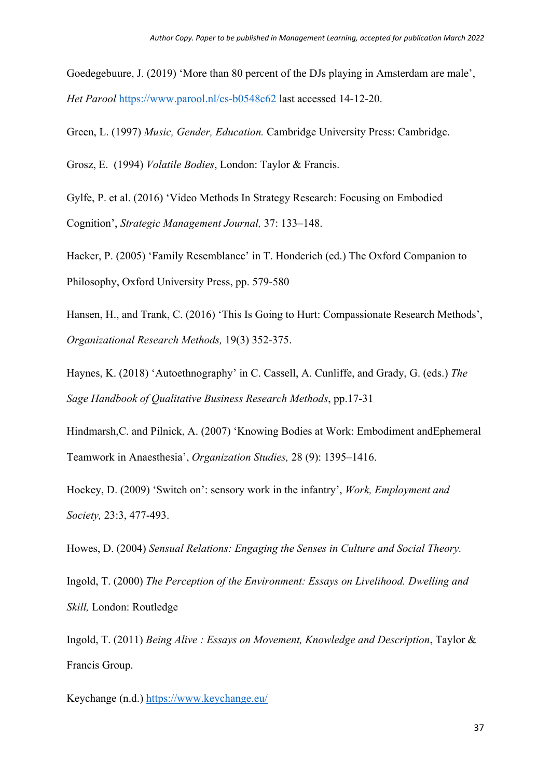Goedegebuure, J. (2019) 'More than 80 percent of the DJs playing in Amsterdam are male', *Het Parool* https://www.parool.nl/cs-b0548c62 last accessed 14-12-20.

Green, L. (1997) *Music, Gender, Education.* Cambridge University Press: Cambridge.

Grosz, E. (1994) *Volatile Bodies*, London: Taylor & Francis.

Gylfe, P. et al. (2016) 'Video Methods In Strategy Research: Focusing on Embodied Cognition', *Strategic Management Journal,* 37: 133–148.

Hacker, P. (2005) 'Family Resemblance' in T. Honderich (ed.) The Oxford Companion to Philosophy, Oxford University Press, pp. 579-580

Hansen, H., and Trank, C. (2016) 'This Is Going to Hurt: Compassionate Research Methods', *Organizational Research Methods,* 19(3) 352-375.

Haynes, K. (2018) 'Autoethnography' in C. Cassell, A. Cunliffe, and Grady, G. (eds.) *The Sage Handbook of Qualitative Business Research Methods*, pp.17-31

Hindmarsh,C. and Pilnick, A. (2007) 'Knowing Bodies at Work: Embodiment andEphemeral Teamwork in Anaesthesia', *Organization Studies,* 28 (9): 1395–1416.

Hockey, D. (2009) 'Switch on': sensory work in the infantry', *Work, Employment and Society,* 23:3, 477-493.

Howes, D. (2004) *Sensual Relations: Engaging the Senses in Culture and Social Theory.*

Ingold, T. (2000) *The Perception of the Environment: Essays on Livelihood. Dwelling and Skill,* London: Routledge

Ingold, T. (2011) *Being Alive : Essays on Movement, Knowledge and Description*, Taylor & Francis Group.

Keychange (n.d.) https://www.keychange.eu/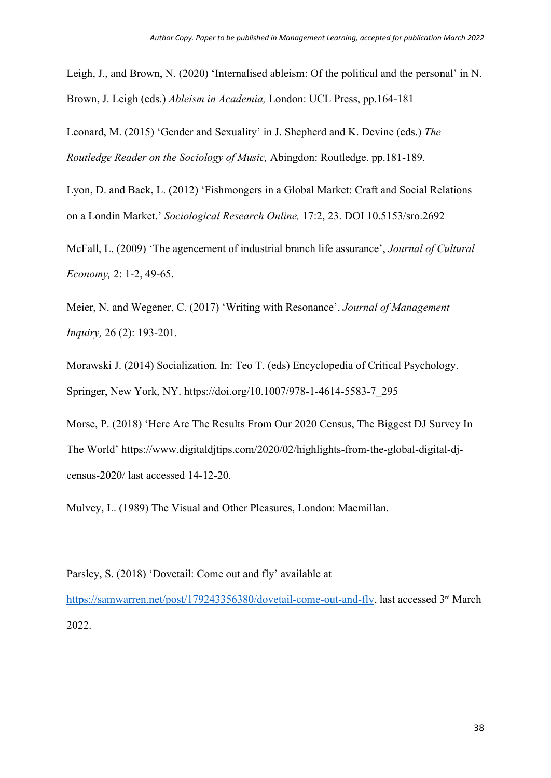Leigh, J., and Brown, N. (2020) 'Internalised ableism: Of the political and the personal' in N. Brown, J. Leigh (eds.) *Ableism in Academia,* London: UCL Press, pp.164-181

Leonard, M. (2015) 'Gender and Sexuality' in J. Shepherd and K. Devine (eds.) *The Routledge Reader on the Sociology of Music,* Abingdon: Routledge. pp.181-189.

Lyon, D. and Back, L. (2012) 'Fishmongers in a Global Market: Craft and Social Relations on a Londin Market.' *Sociological Research Online,* 17:2, 23. DOI 10.5153/sro.2692

McFall, L. (2009) 'The agencement of industrial branch life assurance', *Journal of Cultural Economy,* 2: 1-2, 49-65.

Meier, N. and Wegener, C. (2017) 'Writing with Resonance', *Journal of Management Inquiry,* 26 (2): 193-201.

Morawski J. (2014) Socialization. In: Teo T. (eds) Encyclopedia of Critical Psychology. Springer, New York, NY. https://doi.org/10.1007/978-1-4614-5583-7\_295

Morse, P. (2018) 'Here Are The Results From Our 2020 Census, The Biggest DJ Survey In The World' https://www.digitaldjtips.com/2020/02/highlights-from-the-global-digital-djcensus-2020/ last accessed 14-12-20.

Mulvey, L. (1989) The Visual and Other Pleasures, London: Macmillan.

# Parsley, S. (2018) 'Dovetail: Come out and fly' available at

https://samwarren.net/post/179243356380/dovetail-come-out-and-fly, last accessed 3<sup>rd</sup> March 2022.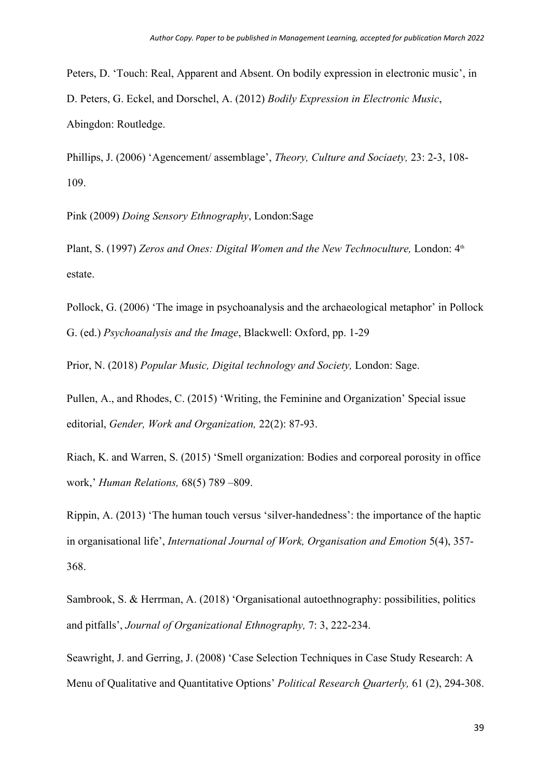Peters, D. 'Touch: Real, Apparent and Absent. On bodily expression in electronic music', in D. Peters, G. Eckel, and Dorschel, A. (2012) *Bodily Expression in Electronic Music*, Abingdon: Routledge.

Phillips, J. (2006) 'Agencement/ assemblage', *Theory, Culture and Sociaety,* 23: 2-3, 108- 109.

Pink (2009) *Doing Sensory Ethnography*, London:Sage

Plant, S. (1997) *Zeros and Ones: Digital Women and the New Technoculture*, London:  $4<sup>th</sup>$ estate.

Pollock, G. (2006) 'The image in psychoanalysis and the archaeological metaphor' in Pollock G. (ed.) *Psychoanalysis and the Image*, Blackwell: Oxford, pp. 1-29

Prior, N. (2018) *Popular Music, Digital technology and Society,* London: Sage.

Pullen, A., and Rhodes, C. (2015) 'Writing, the Feminine and Organization' Special issue editorial, *Gender, Work and Organization,* 22(2): 87-93.

Riach, K. and Warren, S. (2015) 'Smell organization: Bodies and corporeal porosity in office work,' *Human Relations,* 68(5) 789 –809.

Rippin, A. (2013) 'The human touch versus 'silver-handedness': the importance of the haptic in organisational life', *International Journal of Work, Organisation and Emotion* 5(4), 357- 368.

Sambrook, S. & Herrman, A. (2018) 'Organisational autoethnography: possibilities, politics and pitfalls', *Journal of Organizational Ethnography,* 7: 3, 222-234.

Seawright, J. and Gerring, J. (2008) 'Case Selection Techniques in Case Study Research: A Menu of Qualitative and Quantitative Options' *Political Research Quarterly,* 61 (2), 294-308.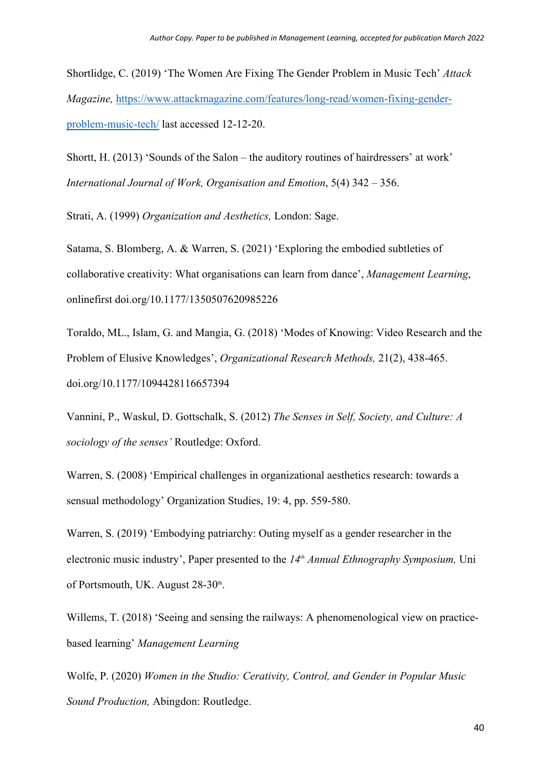Shortlidge, C. (2019) 'The Women Are Fixing The Gender Problem in Music Tech' *Attack Magazine,* https://www.attackmagazine.com/features/long-read/women-fixing-genderproblem-music-tech/ last accessed 12-12-20.

Shortt, H. (2013) 'Sounds of the Salon – the auditory routines of hairdressers' at work' *International Journal of Work, Organisation and Emotion*, 5(4) 342 – 356.

Strati, A. (1999) *Organization and Aesthetics,* London: Sage.

Satama, S. Blomberg, A. & Warren, S. (2021) 'Exploring the embodied subtleties of collaborative creativity: What organisations can learn from dance', *Management Learning*, onlinefirst doi.org/10.1177/1350507620985226

Toraldo, ML., Islam, G. and Mangia, G. (2018) 'Modes of Knowing: Video Research and the Problem of Elusive Knowledges', *Organizational Research Methods,* 21(2), 438-465. doi.org/10.1177/1094428116657394

Vannini, P., Waskul, D. Gottschalk, S. (2012) *The Senses in Self, Society, and Culture: A sociology of the senses'* Routledge: Oxford.

Warren, S. (2008) 'Empirical challenges in organizational aesthetics research: towards a sensual methodology' Organization Studies, 19: 4, pp. 559-580.

Warren, S. (2019) 'Embodying patriarchy: Outing myself as a gender researcher in the electronic music industry', Paper presented to the *14th Annual Ethnography Symposium,* Uni of Portsmouth, UK. August 28-30<sup>th</sup>. .

Willems, T. (2018) 'Seeing and sensing the railways: A phenomenological view on practicebased learning' *Management Learning*

Wolfe, P. (2020) *Women in the Studio: Cerativity, Control, and Gender in Popular Music Sound Production,* Abingdon: Routledge.